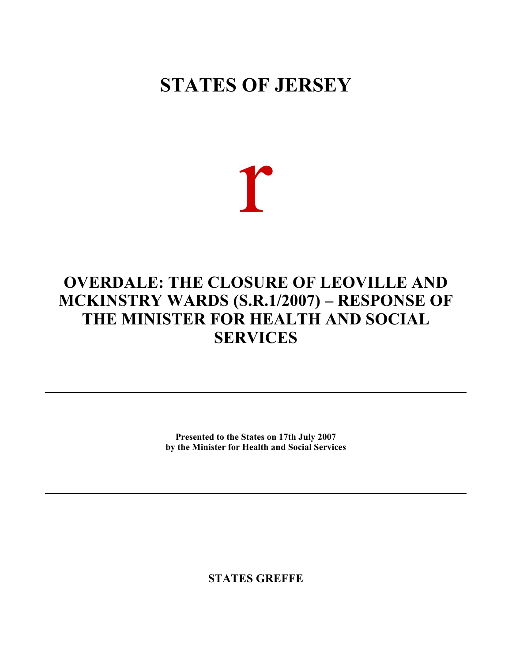# **STATES OF JERSEY**

r

# **OVERDALE: THE CLOSURE OF LEOVILLE AND MCKINSTRY WARDS (S.R.1/2007) – RESPONSE OF THE MINISTER FOR HEALTH AND SOCIAL SERVICES**

**Presented to the States on 17th July 2007 by the Minister for Health and Social Services**

**STATES GREFFE**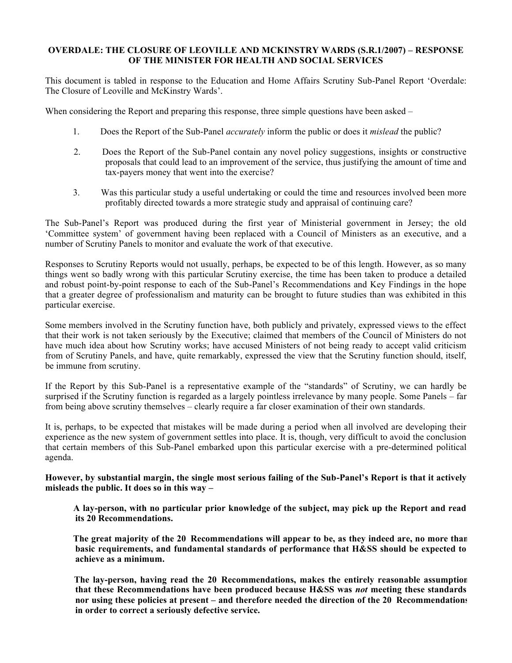# **OVERDALE: THE CLOSURE OF LEOVILLE AND MCKINSTRY WARDS (S.R.1/2007) – RESPONSE OF THE MINISTER FOR HEALTH AND SOCIAL SERVICES**

This document is tabled in response to the Education and Home Affairs Scrutiny Sub-Panel Report 'Overdale: The Closure of Leoville and McKinstry Wards'.

When considering the Report and preparing this response, three simple questions have been asked –

- 1. Does the Report of the Sub-Panel *accurately* inform the public or does it *mislead* the public?
- 2. Does the Report of the Sub-Panel contain any novel policy suggestions, insights or constructive proposals that could lead to an improvement of the service, thus justifying the amount of time and tax-payers money that went into the exercise?
- 3. Was this particular study a useful undertaking or could the time and resources involved been more profitably directed towards a more strategic study and appraisal of continuing care?

The Sub-Panel's Report was produced during the first year of Ministerial government in Jersey; the old 'Committee system' of government having been replaced with a Council of Ministers as an executive, and a number of Scrutiny Panels to monitor and evaluate the work of that executive.

Responses to Scrutiny Reports would not usually, perhaps, be expected to be of this length. However, as so many things went so badly wrong with this particular Scrutiny exercise, the time has been taken to produce a detailed and robust point-by-point response to each of the Sub-Panel's Recommendations and Key Findings in the hope that a greater degree of professionalism and maturity can be brought to future studies than was exhibited in this particular exercise.

Some members involved in the Scrutiny function have, both publicly and privately, expressed views to the effect that their work is not taken seriously by the Executive; claimed that members of the Council of Ministers do not have much idea about how Scrutiny works; have accused Ministers of not being ready to accept valid criticism from of Scrutiny Panels, and have, quite remarkably, expressed the view that the Scrutiny function should, itself, be immune from scrutiny.

If the Report by this Sub-Panel is a representative example of the "standards" of Scrutiny, we can hardly be surprised if the Scrutiny function is regarded as a largely pointless irrelevance by many people. Some Panels – far from being above scrutiny themselves – clearly require a far closer examination of their own standards.

It is, perhaps, to be expected that mistakes will be made during a period when all involved are developing their experience as the new system of government settles into place. It is, though, very difficult to avoid the conclusion that certain members of this Sub-Panel embarked upon this particular exercise with a pre-determined political agenda.

**However, by substantial margin, the single most serious failing of the Sub-Panel's Report is that it actively misleads the public. It does so in this way –**

 **A lay-person, with no particular prior knowledge of the subject, may pick up the Report and read its 20 Recommendations.**

 **The great majority of the 20 Recommendations will appear to be, as they indeed are, no more than basic requirements, and fundamental standards of performance that H&SS should be expected to achieve as a minimum.**

 **The lay-person, having read the 20 Recommendations, makes the entirely reasonable assumption that these Recommendations have been produced because H&SS was** *not* **meeting these standards nor using these policies at present – and therefore needed the direction of the 20 Recommendations in order to correct a seriously defective service.**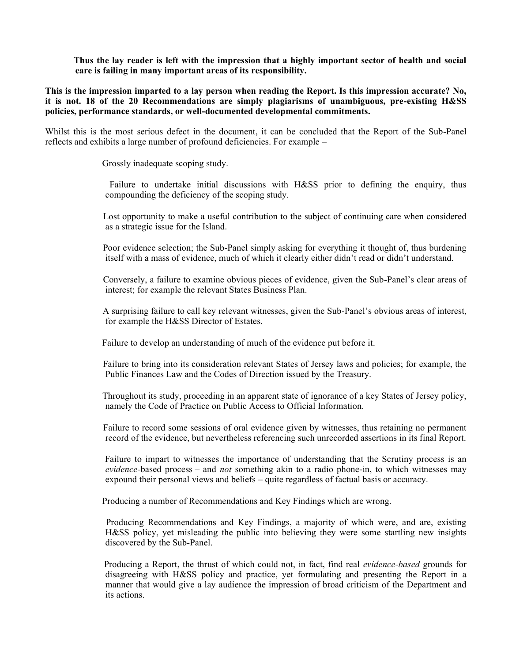**Thus the lay reader is left with the impression that a highly important sector of health and social care is failing in many important areas of its responsibility.**

**This is the impression imparted to a lay person when reading the Report. Is this impression accurate? No, it is not. 18 of the 20 Recommendations are simply plagiarisms of unambiguous, pre-existing H&SS policies, performance standards, or well-documented developmental commitments.**

Whilst this is the most serious defect in the document, it can be concluded that the Report of the Sub-Panel reflects and exhibits a large number of profound deficiencies. For example –

Grossly inadequate scoping study.

Failure to undertake initial discussions with H&SS prior to defining the enquiry, thus compounding the deficiency of the scoping study.

 Lost opportunity to make a useful contribution to the subject of continuing care when considered as a strategic issue for the Island.

 Poor evidence selection; the Sub-Panel simply asking for everything it thought of, thus burdening itself with a mass of evidence, much of which it clearly either didn't read or didn't understand.

 Conversely, a failure to examine obvious pieces of evidence, given the Sub-Panel's clear areas of interest; for example the relevant States Business Plan.

 A surprising failure to call key relevant witnesses, given the Sub-Panel's obvious areas of interest, for example the H&SS Director of Estates.

Failure to develop an understanding of much of the evidence put before it.

 Failure to bring into its consideration relevant States of Jersey laws and policies; for example, the Public Finances Law and the Codes of Direction issued by the Treasury.

 Throughout its study, proceeding in an apparent state of ignorance of a key States of Jersey policy, namely the Code of Practice on Public Access to Official Information.

 Failure to record some sessions of oral evidence given by witnesses, thus retaining no permanent record of the evidence, but nevertheless referencing such unrecorded assertions in its final Report.

 Failure to impart to witnesses the importance of understanding that the Scrutiny process is an *evidence-*based process – and *not* something akin to a radio phone-in, to which witnesses may expound their personal views and beliefs – quite regardless of factual basis or accuracy.

Producing a number of Recommendations and Key Findings which are wrong.

 Producing Recommendations and Key Findings, a majority of which were, and are, existing H&SS policy, yet misleading the public into believing they were some startling new insights discovered by the Sub-Panel.

 Producing a Report, the thrust of which could not, in fact, find real *evidence-based* grounds for disagreeing with H&SS policy and practice, yet formulating and presenting the Report in a manner that would give a lay audience the impression of broad criticism of the Department and its actions.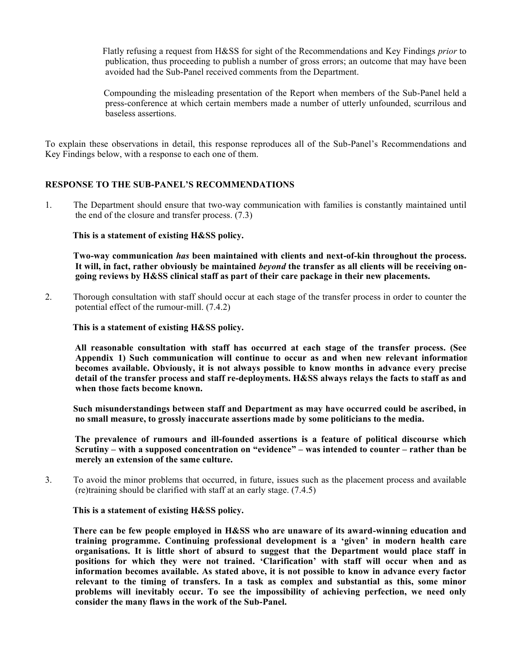Flatly refusing a request from H&SS for sight of the Recommendations and Key Findings *prior* to publication, thus proceeding to publish a number of gross errors; an outcome that may have been avoided had the Sub-Panel received comments from the Department.

 Compounding the misleading presentation of the Report when members of the Sub-Panel held a press-conference at which certain members made a number of utterly unfounded, scurrilous and baseless assertions.

To explain these observations in detail, this response reproduces all of the Sub-Panel's Recommendations and Key Findings below, with a response to each one of them.

# **RESPONSE TO THE SUB-PANEL'S RECOMMENDATIONS**

1. The Department should ensure that two-way communication with families is constantly maintained until the end of the closure and transfer process. (7.3)

# **This is a statement of existing H&SS policy.**

 **Two-way communication** *has* **been maintained with clients and next-of-kin throughout the process. It will, in fact, rather obviously be maintained** *beyond* **the transfer as all clients will be receiving ongoing reviews by H&SS clinical staff as part of their care package in their new placements.**

2. Thorough consultation with staff should occur at each stage of the transfer process in order to counter the potential effect of the rumour-mill. (7.4.2)

 **This is a statement of existing H&SS policy.**

 **All reasonable consultation with staff has occurred at each stage of the transfer process. (See Appendix 1) Such communication will continue to occur as and when new relevant information becomes available. Obviously, it is not always possible to know months in advance every precise detail of the transfer process and staff re-deployments. H&SS always relays the facts to staff as and when those facts become known.**

 **Such misunderstandings between staff and Department as may have occurred could be ascribed, in no small measure, to grossly inaccurate assertions made by some politicians to the media.**

 **The prevalence of rumours and ill-founded assertions is a feature of political discourse which Scrutiny – with a supposed concentration on "evidence" – was intended to counter – rather than be merely an extension of the same culture.**

3. To avoid the minor problems that occurred, in future, issues such as the placement process and available (re)training should be clarified with staff at an early stage. (7.4.5)

#### **This is a statement of existing H&SS policy.**

 **There can be few people employed in H&SS who are unaware of its award-winning education and training programme. Continuing professional development is a 'given' in modern health care organisations. It is little short of absurd to suggest that the Department would place staff in positions for which they were not trained. 'Clarification' with staff will occur when and as information becomes available. As stated above, it is not possible to know in advance every factor relevant to the timing of transfers. In a task as complex and substantial as this, some minor problems will inevitably occur. To see the impossibility of achieving perfection, we need only consider the many flaws in the work of the Sub-Panel.**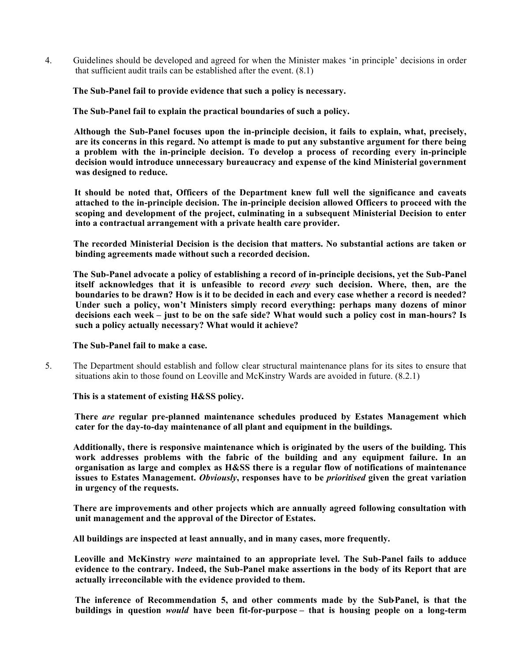4. Guidelines should be developed and agreed for when the Minister makes 'in principle' decisions in order that sufficient audit trails can be established after the event. (8.1)

 **The Sub-Panel fail to provide evidence that such a policy is necessary.**

 **The Sub-Panel fail to explain the practical boundaries of such a policy.**

 **Although the Sub-Panel focuses upon the in-principle decision, it fails to explain, what, precisely, are its concerns in this regard. No attempt is made to put any substantive argument for there being a problem with the in-principle decision. To develop a process of recording every in-principle decision would introduce unnecessary bureaucracy and expense of the kind Ministerial government was designed to reduce.**

 **It should be noted that, Officers of the Department knew full well the significance and caveats attached to the in-principle decision. The in-principle decision allowed Officers to proceed with the scoping and development of the project, culminating in a subsequent Ministerial Decision to enter into a contractual arrangement with a private health care provider.**

 **The recorded Ministerial Decision is the decision that matters. No substantial actions are taken or binding agreements made without such a recorded decision.**

 **The Sub-Panel advocate a policy of establishing a record of in-principle decisions, yet the Sub-Panel itself acknowledges that it is unfeasible to record** *every* **such decision. Where, then, are the boundaries to be drawn? How is it to be decided in each and every case whether a record is needed? Under such a policy, won't Ministers simply record everything: perhaps many dozens of minor decisions each week – just to be on the safe side? What would such a policy cost in man-hours? Is such a policy actually necessary? What would it achieve?**

#### **The Sub-Panel fail to make a case.**

5. The Department should establish and follow clear structural maintenance plans for its sites to ensure that situations akin to those found on Leoville and McKinstry Wards are avoided in future. (8.2.1)

# **This is a statement of existing H&SS policy.**

 **There** *are* **regular pre-planned maintenance schedules produced by Estates Management which cater for the day-to-day maintenance of all plant and equipment in the buildings.**

 **Additionally, there is responsive maintenance which is originated by the users of the building. This work addresses problems with the fabric of the building and any equipment failure. In an organisation as large and complex as H&SS there is a regular flow of notifications of maintenance issues to Estates Management.** *Obviously***, responses have to be** *prioritised* **given the great variation in urgency of the requests.**

 **There are improvements and other projects which are annually agreed following consultation with unit management and the approval of the Director of Estates.**

 **All buildings are inspected at least annually, and in many cases, more frequently.**

 **Leoville and McKinstry** *were* **maintained to an appropriate level. The Sub-Panel fails to adduce evidence to the contrary. Indeed, the Sub-Panel make assertions in the body of its Report that are actually irreconcilable with the evidence provided to them.**

 **The inference of Recommendation 5, and other comments made by the Sub-Panel, is that the buildings in question** *would* **have been fit-for-purpose – that is housing people on a long-term**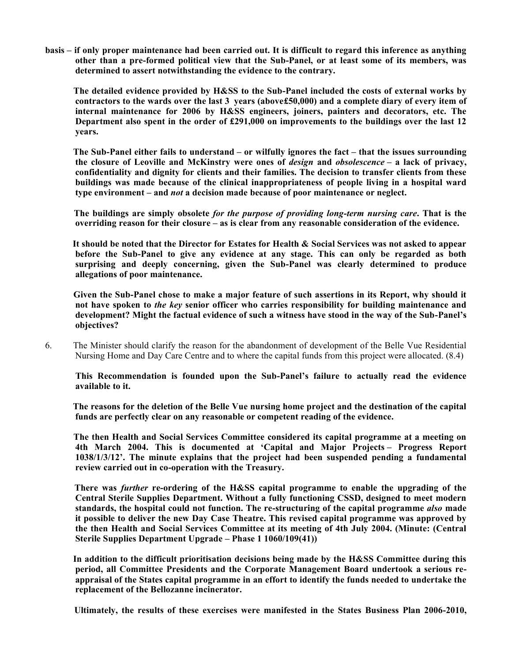**basis – if only proper maintenance had been carried out. It is difficult to regard this inference as anything other than a pre-formed political view that the Sub-Panel, or at least some of its members, was determined to assert notwithstanding the evidence to the contrary.**

 **The detailed evidence provided by H&SS to the Sub-Panel included the costs of external works by contractors to the wards over the last 3 years (above£50,000) and a complete diary of every item of internal maintenance for 2006 by H&SS engineers, joiners, painters and decorators, etc. The Department also spent in the order of £291,000 on improvements to the buildings over the last 12 years.**

 **The Sub-Panel either fails to understand – or wilfully ignores the fact – that the issues surrounding the closure of Leoville and McKinstry were ones of** *design* **and** *obsolescence* **– a lack of privacy, confidentiality and dignity for clients and their families. The decision to transfer clients from these buildings was made because of the clinical inappropriateness of people living in a hospital ward type environment – and** *not* **a decision made because of poor maintenance or neglect.**

 **The buildings are simply obsolete** *for the purpose of providing long-term nursing care***. That is the overriding reason for their closure – as is clear from any reasonable consideration of the evidence.**

 **It should be noted that the Director for Estates for Health & Social Services was not asked to appear before the Sub-Panel to give any evidence at any stage. This can only be regarded as both surprising and deeply concerning, given the Sub-Panel was clearly determined to produce allegations of poor maintenance.**

Given the Sub-Panel chose to make a major feature of such assertions in its Report, why should it **not have spoken to** *the key* **senior officer who carries responsibility for building maintenance and development? Might the factual evidence of such a witness have stood in the way of the Sub-Panel's objectives?**

6. The Minister should clarify the reason for the abandonment of development of the Belle Vue Residential Nursing Home and Day Care Centre and to where the capital funds from this project were allocated. (8.4)

 **This Recommendation is founded upon the Sub-Panel's failure to actually read the evidence available to it.**

 **The reasons for the deletion of the Belle Vue nursing home project and the destination of the capital funds are perfectly clear on any reasonable or competent reading of the evidence.**

 **The then Health and Social Services Committee considered its capital programme at a meeting on 4th March 2004. This is documented at 'Capital and Major Projects – Progress Report 1038/1/3/12'. The minute explains that the project had been suspended pending a fundamental review carried out in co-operation with the Treasury.**

 **There was** *further* **re-ordering of the H&SS capital programme to enable the upgrading of the Central Sterile Supplies Department. Without a fully functioning CSSD, designed to meet modern standards, the hospital could not function. The re-structuring of the capital programme** *also* **made it possible to deliver the new Day Case Theatre. This revised capital programme was approved by the then Health and Social Services Committee at its meeting of 4th July 2004. (Minute: (Central Sterile Supplies Department Upgrade – Phase 1 1060/109(41))**

 **In addition to the difficult prioritisation decisions being made by the H&SS Committee during this period, all Committee Presidents and the Corporate Management Board undertook a serious reappraisal of the States capital programme in an effort to identify the funds needed to undertake the replacement of the Bellozanne incinerator.**

 **Ultimately, the results of these exercises were manifested in the States Business Plan 2006-2010,**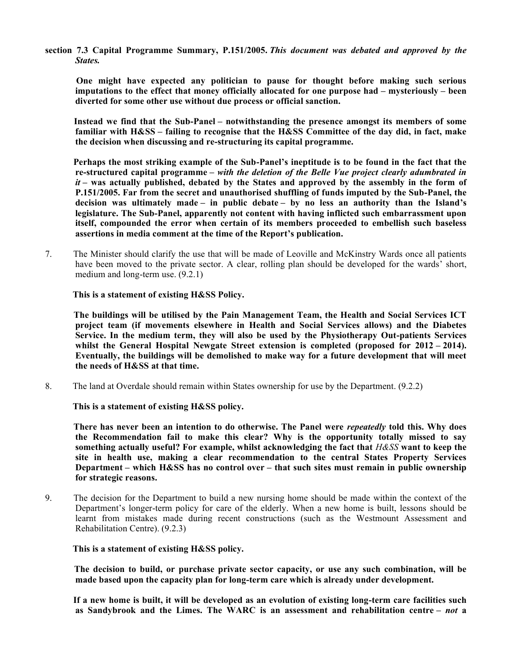**section 7.3 Capital Programme Summary, P.151/2005.** *This document was debated and approved by the States.*

 **One might have expected any politician to pause for thought before making such serious imputations to the effect that money officially allocated for one purpose had – mysteriously – been diverted for some other use without due process or official sanction.**

 **Instead we find that the Sub-Panel – notwithstanding the presence amongst its members of some familiar with H&SS – failing to recognise that the H&SS Committee of the day did, in fact, make the decision when discussing and re-structuring its capital programme.**

 **Perhaps the most striking example of the Sub-Panel's ineptitude is to be found in the fact that the re-structured capital programme –** *with the deletion of the Belle Vue project clearly adumbrated in it* **– was actually published, debated by the States and approved by the assembly in the form of P.151/2005. Far from the secret and unauthorised shuffling of funds imputed by the Sub-Panel, the decision was ultimately made – in public debate – by no less an authority than the Island's legislature. The Sub-Panel, apparently not content with having inflicted such embarrassment upon itself, compounded the error when certain of its members proceeded to embellish such baseless assertions in media comment at the time of the Report's publication.**

7. The Minister should clarify the use that will be made of Leoville and McKinstry Wards once all patients have been moved to the private sector. A clear, rolling plan should be developed for the wards' short, medium and long-term use. (9.2.1)

## **This is a statement of existing H&SS Policy.**

 **The buildings will be utilised by the Pain Management Team, the Health and Social Services ICT project team (if movements elsewhere in Health and Social Services allows) and the Diabetes Service. In the medium term, they will also be used by the Physiotherapy Out-patients Services whilst the General Hospital Newgate Street extension is completed (proposed for 2012 – 2014). Eventually, the buildings will be demolished to make way for a future development that will meet the needs of H&SS at that time.**

8. The land at Overdale should remain within States ownership for use by the Department. (9.2.2)

 **This is a statement of existing H&SS policy.**

 **There has never been an intention to do otherwise. The Panel were** *repeatedly* **told this. Why does the Recommendation fail to make this clear? Why is the opportunity totally missed to say something actually useful? For example, whilst acknowledging the fact that** *H&SS* **want to keep the site in health use, making a clear recommendation to the central States Property Services Department – which H&SS has no control over – that such sites must remain in public ownership for strategic reasons.**

9. The decision for the Department to build a new nursing home should be made within the context of the Department's longer-term policy for care of the elderly. When a new home is built, lessons should be learnt from mistakes made during recent constructions (such as the Westmount Assessment and Rehabilitation Centre). (9.2.3)

# **This is a statement of existing H&SS policy.**

 **The decision to build, or purchase private sector capacity, or use any such combination, will be made based upon the capacity plan for long-term care which is already under development.**

 **If a new home is built, it will be developed as an evolution of existing long-term care facilities such as Sandybrook and the Limes. The WARC is an assessment and rehabilitation centre –** *not* **a**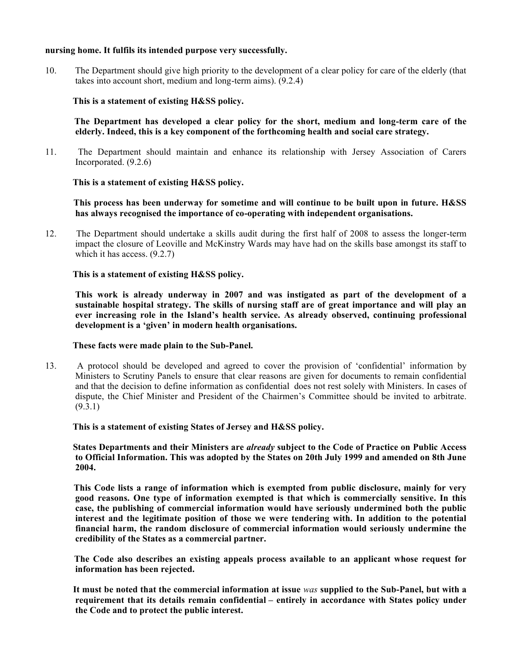### **nursing home. It fulfils its intended purpose very successfully.**

10. The Department should give high priority to the development of a clear policy for care of the elderly (that takes into account short, medium and long-term aims). (9.2.4)

# **This is a statement of existing H&SS policy.**

 **The Department has developed a clear policy for the short, medium and long-term care of the elderly. Indeed, this is a key component of the forthcoming health and social care strategy.**

11. The Department should maintain and enhance its relationship with Jersey Association of Carers Incorporated. (9.2.6)

## **This is a statement of existing H&SS policy.**

 **This process has been underway for sometime and will continue to be built upon in future. H&SS has always recognised the importance of co-operating with independent organisations.**

12. The Department should undertake a skills audit during the first half of 2008 to assess the longer-term impact the closure of Leoville and McKinstry Wards may have had on the skills base amongst its staff to which it has access.  $(9.2.7)$ 

## **This is a statement of existing H&SS policy.**

 **This work is already underway in 2007 and was instigated as part of the development of a sustainable hospital strategy. The skills of nursing staff are of great importance and will play an ever increasing role in the Island's health service. As already observed, continuing professional development is a 'given' in modern health organisations.**

### **These facts were made plain to the Sub-Panel.**

13. A protocol should be developed and agreed to cover the provision of 'confidential' information by Ministers to Scrutiny Panels to ensure that clear reasons are given for documents to remain confidential and that the decision to define information as confidential does not rest solely with Ministers. In cases of dispute, the Chief Minister and President of the Chairmen's Committee should be invited to arbitrate.  $(9.3.1)$ 

#### **This is a statement of existing States of Jersey and H&SS policy.**

 **States Departments and their Ministers are** *already* **subject to the Code of Practice on Public Access to Official Information. This was adopted by the States on 20th July 1999 and amended on 8th June 2004.**

 **This Code lists a range of information which is exempted from public disclosure, mainly for very good reasons. One type of information exempted is that which is commercially sensitive. In this case, the publishing of commercial information would have seriously undermined both the public interest and the legitimate position of those we were tendering with. In addition to the potential financial harm, the random disclosure of commercial information would seriously undermine the credibility of the States as a commercial partner.**

 **The Code also describes an existing appeals process available to an applicant whose request for information has been rejected.**

 **It must be noted that the commercial information at issue** *was* **supplied to the Sub-Panel, but with a requirement that its details remain confidential – entirely in accordance with States policy under the Code and to protect the public interest.**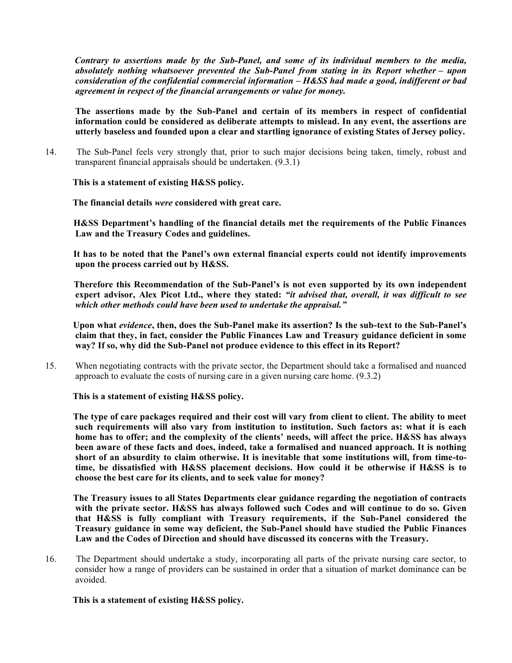*Contrary to assertions made by the Sub-Panel, and some of its individual members to the media, absolutely nothing whatsoever prevented the Sub-Panel from stating in its Report whether – upon consideration of the confidential commercial information – H&SS had made a good, indifferent or bad agreement in respect of the financial arrangements or value for money.*

 **The assertions made by the Sub-Panel and certain of its members in respect of confidential information could be considered as deliberate attempts to mislead. In any event, the assertions are utterly baseless and founded upon a clear and startling ignorance of existing States of Jersey policy.**

14. The Sub-Panel feels very strongly that, prior to such major decisions being taken, timely, robust and transparent financial appraisals should be undertaken. (9.3.1)

# **This is a statement of existing H&SS policy.**

 **The financial details** *were* **considered with great care.**

 **H&SS Department's handling of the financial details met the requirements of the Public Finances Law and the Treasury Codes and guidelines.**

 **It has to be noted that the Panel's own external financial experts could not identify improvements upon the process carried out by H&SS.**

 **Therefore this Recommendation of the Sub-Panel's is not even supported by its own independent expert advisor, Alex Picot Ltd., where they stated:** *"it advised that, overall, it was difficult to see which other methods could have been used to undertake the appraisal."*

 **Upon what** *evidence***, then, does the Sub-Panel make its assertion? Is the sub-text to the Sub-Panel's claim that they, in fact, consider the Public Finances Law and Treasury guidance deficient in some way? If so, why did the Sub-Panel not produce evidence to this effect in its Report?**

15. When negotiating contracts with the private sector, the Department should take a formalised and nuanced approach to evaluate the costs of nursing care in a given nursing care home. (9.3.2)

 **This is a statement of existing H&SS policy.**

 **The type of care packages required and their cost will vary from client to client. The ability to meet such requirements will also vary from institution to institution. Such factors as: what it is each home has to offer; and the complexity of the clients' needs, will affect the price. H&SS has always been aware of these facts and does, indeed, take a formalised and nuanced approach. It is nothing short of an absurdity to claim otherwise. It is inevitable that some institutions will, from time-totime, be dissatisfied with H&SS placement decisions. How could it be otherwise if H&SS is to choose the best care for its clients, and to seek value for money?**

 **The Treasury issues to all States Departments clear guidance regarding the negotiation of contracts with the private sector. H&SS has always followed such Codes and will continue to do so. Given that H&SS is fully compliant with Treasury requirements, if the Sub-Panel considered the Treasury guidance in some way deficient, the Sub-Panel should have studied the Public Finances Law and the Codes of Direction and should have discussed its concerns with the Treasury.**

16. The Department should undertake a study, incorporating all parts of the private nursing care sector, to consider how a range of providers can be sustained in order that a situation of market dominance can be avoided.

 **This is a statement of existing H&SS policy.**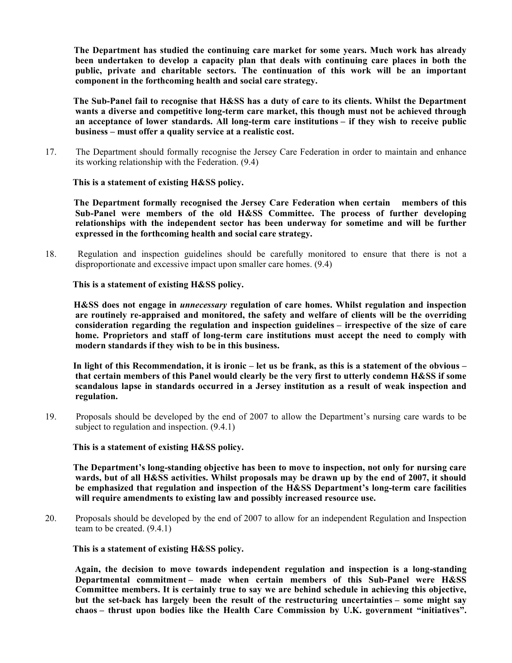**The Department has studied the continuing care market for some years. Much work has already been undertaken to develop a capacity plan that deals with continuing care places in both the public, private and charitable sectors. The continuation of this work will be an important component in the forthcoming health and social care strategy.**

 **The Sub-Panel fail to recognise that H&SS has a duty of care to its clients. Whilst the Department wants a diverse and competitive long-term care market, this though must not be achieved through an acceptance of lower standards. All long-term care institutions – if they wish to receive public business – must offer a quality service at a realistic cost.**

17. The Department should formally recognise the Jersey Care Federation in order to maintain and enhance its working relationship with the Federation. (9.4)

## **This is a statement of existing H&SS policy.**

 **The Department formally recognised the Jersey Care Federation when certain members of this Sub-Panel were members of the old H&SS Committee. The process of further developing relationships with the independent sector has been underway for sometime and will be further expressed in the forthcoming health and social care strategy.**

18. Regulation and inspection guidelines should be carefully monitored to ensure that there is not a disproportionate and excessive impact upon smaller care homes. (9.4)

## **This is a statement of existing H&SS policy.**

 **H&SS does not engage in** *unnecessary* **regulation of care homes. Whilst regulation and inspection are routinely re-appraised and monitored, the safety and welfare of clients will be the overriding consideration regarding the regulation and inspection guidelines – irrespective of the size of care home. Proprietors and staff of long-term care institutions must accept the need to comply with modern standards if they wish to be in this business.**

 **In light of this Recommendation, it is ironic – let us be frank, as this is a statement of the obvious – that certain members of this Panel would clearly be the very first to utterly condemn H&SS if some scandalous lapse in standards occurred in a Jersey institution as a result of weak inspection and regulation.**

19. Proposals should be developed by the end of 2007 to allow the Department's nursing care wards to be subject to regulation and inspection. (9.4.1)

#### **This is a statement of existing H&SS policy.**

 **The Department's long-standing objective has been to move to inspection, not only for nursing care wards, but of all H&SS activities. Whilst proposals may be drawn up by the end of 2007, it should be emphasized that regulation and inspection of the H&SS Department's long-term care facilities will require amendments to existing law and possibly increased resource use.**

20. Proposals should be developed by the end of 2007 to allow for an independent Regulation and Inspection team to be created. (9.4.1)

 **This is a statement of existing H&SS policy.**

 **Again, the decision to move towards independent regulation and inspection is a long-standing Departmental commitment – made when certain members of this Sub-Panel were H&SS Committee members. It is certainly true to say we are behind schedule in achieving this objective, but the set-back has largely been the result of the restructuring uncertainties – some might say chaos – thrust upon bodies like the Health Care Commission by U.K. government "initiatives".**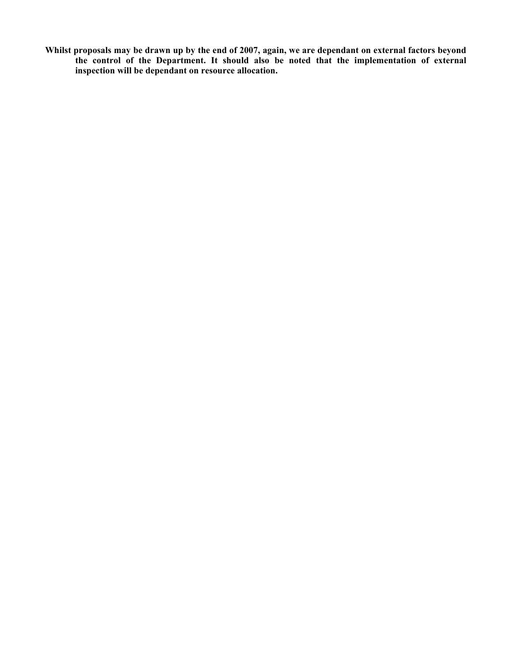**Whilst proposals may be drawn up by the end of 2007, again, we are dependant on external factors beyond the control of the Department. It should also be noted that the implementation of external inspection will be dependant on resource allocation.**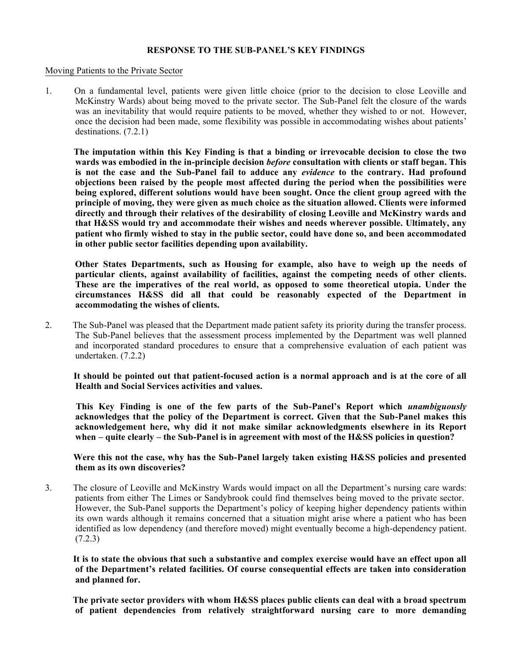# **RESPONSE TO THE SUB-PANEL'S KEY FINDINGS**

#### Moving Patients to the Private Sector

1. On a fundamental level, patients were given little choice (prior to the decision to close Leoville and McKinstry Wards) about being moved to the private sector. The Sub-Panel felt the closure of the wards was an inevitability that would require patients to be moved, whether they wished to or not. However, once the decision had been made, some flexibility was possible in accommodating wishes about patients' destinations. (7.2.1)

 **The imputation within this Key Finding is that a binding or irrevocable decision to close the two wards was embodied in the in-principle decision** *before* **consultation with clients or staff began. This is not the case and the Sub-Panel fail to adduce any** *evidence* **to the contrary. Had profound objections been raised by the people most affected during the period when the possibilities were being explored, different solutions would have been sought. Once the client group agreed with the principle of moving, they were given as much choice as the situation allowed. Clients were informed directly and through their relatives of the desirability of closing Leoville and McKinstry wards and that H&SS would try and accommodate their wishes and needs wherever possible. Ultimately, any patient who firmly wished to stay in the public sector, could have done so, and been accommodated in other public sector facilities depending upon availability.**

 **Other States Departments, such as Housing for example, also have to weigh up the needs of particular clients, against availability of facilities, against the competing needs of other clients. These are the imperatives of the real world, as opposed to some theoretical utopia. Under the circumstances H&SS did all that could be reasonably expected of the Department in accommodating the wishes of clients.**

2. The Sub-Panel was pleased that the Department made patient safety its priority during the transfer process. The Sub-Panel believes that the assessment process implemented by the Department was well planned and incorporated standard procedures to ensure that a comprehensive evaluation of each patient was undertaken. (7.2.2)

 **It should be pointed out that patient-focused action is a normal approach and is at the core of all Health and Social Services activities and values.**

 **This Key Finding is one of the few parts of the Sub-Panel's Report which** *unambiguously* **acknowledges that the policy of the Department is correct. Given that the Sub-Panel makes this acknowledgement here, why did it not make similar acknowledgments elsewhere in its Report when – quite clearly – the Sub-Panel is in agreement with most of the H&SS policies in question?**

 **Were this not the case, why has the Sub-Panel largely taken existing H&SS policies and presented them as its own discoveries?**

3. The closure of Leoville and McKinstry Wards would impact on all the Department's nursing care wards: patients from either The Limes or Sandybrook could find themselves being moved to the private sector. However, the Sub-Panel supports the Department's policy of keeping higher dependency patients within its own wards although it remains concerned that a situation might arise where a patient who has been identified as low dependency (and therefore moved) might eventually become a high-dependency patient. (7.2.3)

 **It is to state the obvious that such a substantive and complex exercise would have an effect upon all of the Department's related facilities. Of course consequential effects are taken into consideration and planned for.**

 **The private sector providers with whom H&SS places public clients can deal with a broad spectrum of patient dependencies from relatively straightforward nursing care to more demanding**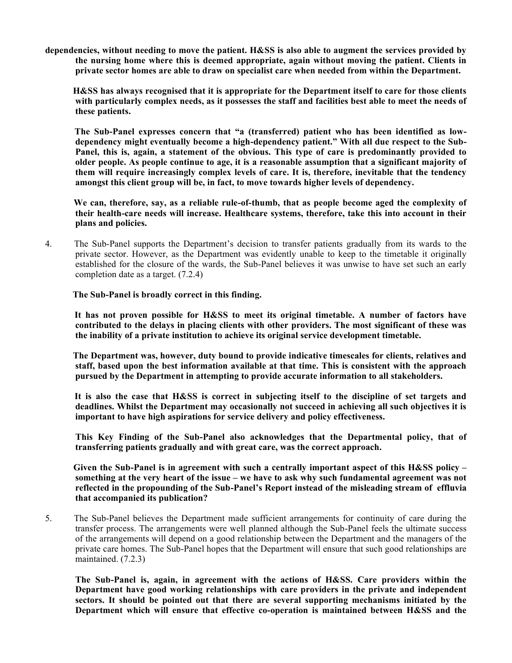**dependencies, without needing to move the patient. H&SS is also able to augment the services provided by the nursing home where this is deemed appropriate, again without moving the patient. Clients in private sector homes are able to draw on specialist care when needed from within the Department.**

 **H&SS has always recognised that it is appropriate for the Department itself to care for those clients with particularly complex needs, as it possesses the staff and facilities best able to meet the needs of these patients.**

 **The Sub-Panel expresses concern that "a (transferred) patient who has been identified as lowdependency might eventually become a high-dependency patient." With all due respect to the Sub-Panel, this is, again, a statement of the obvious. This type of care is predominantly provided to older people. As people continue to age, it is a reasonable assumption that a significant majority of them will require increasingly complex levels of care. It is, therefore, inevitable that the tendency amongst this client group will be, in fact, to move towards higher levels of dependency.**

 **We can, therefore, say, as a reliable rule-of-thumb, that as people become aged the complexity of their health-care needs will increase. Healthcare systems, therefore, take this into account in their plans and policies.**

4. The Sub-Panel supports the Department's decision to transfer patients gradually from its wards to the private sector. However, as the Department was evidently unable to keep to the timetable it originally established for the closure of the wards, the Sub-Panel believes it was unwise to have set such an early completion date as a target. (7.2.4)

 **The Sub-Panel is broadly correct in this finding.**

 **It has not proven possible for H&SS to meet its original timetable. A number of factors have contributed to the delays in placing clients with other providers. The most significant of these was the inability of a private institution to achieve its original service development timetable.**

 **The Department was, however, duty bound to provide indicative timescales for clients, relatives and staff, based upon the best information available at that time. This is consistent with the approach pursued by the Department in attempting to provide accurate information to all stakeholders.**

 **It is also the case that H&SS is correct in subjecting itself to the discipline of set targets and deadlines. Whilst the Department may occasionally not succeed in achieving all such objectives it is important to have high aspirations for service delivery and policy effectiveness.**

 **This Key Finding of the Sub-Panel also acknowledges that the Departmental policy, that of transferring patients gradually and with great care, was the correct approach.**

 **Given the Sub-Panel is in agreement with such a centrally important aspect of this H&SS policy – something at the very heart of the issue – we have to ask why such fundamental agreement was not reflected in the propounding of the Sub-Panel's Report instead of the misleading stream of effluvia that accompanied its publication?**

5. The Sub-Panel believes the Department made sufficient arrangements for continuity of care during the transfer process. The arrangements were well planned although the Sub-Panel feels the ultimate success of the arrangements will depend on a good relationship between the Department and the managers of the private care homes. The Sub-Panel hopes that the Department will ensure that such good relationships are maintained. (7.2.3)

 **The Sub-Panel is, again, in agreement with the actions of H&SS. Care providers within the Department have good working relationships with care providers in the private and independent sectors. It should be pointed out that there are several supporting mechanisms initiated by the Department which will ensure that effective co-operation is maintained between H&SS and the**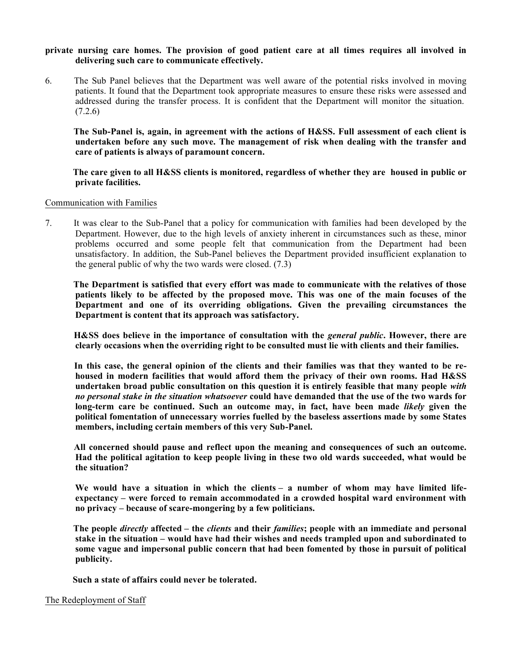## **private nursing care homes. The provision of good patient care at all times requires all involved in delivering such care to communicate effectively.**

6. The Sub Panel believes that the Department was well aware of the potential risks involved in moving patients. It found that the Department took appropriate measures to ensure these risks were assessed and addressed during the transfer process. It is confident that the Department will monitor the situation.  $(7.2.6)$ 

 **The Sub-Panel is, again, in agreement with the actions of H&SS. Full assessment of each client is undertaken before any such move. The management of risk when dealing with the transfer and care of patients is always of paramount concern.**

 **The care given to all H&SS clients is monitored, regardless of whether they are housed in public or private facilities.**

#### Communication with Families

7. It was clear to the Sub-Panel that a policy for communication with families had been developed by the Department. However, due to the high levels of anxiety inherent in circumstances such as these, minor problems occurred and some people felt that communication from the Department had been unsatisfactory. In addition, the Sub-Panel believes the Department provided insufficient explanation to the general public of why the two wards were closed. (7.3)

 **The Department is satisfied that every effort was made to communicate with the relatives of those patients likely to be affected by the proposed move. This was one of the main focuses of the Department and one of its overriding obligations. Given the prevailing circumstances the Department is content that its approach was satisfactory.**

 **H&SS does believe in the importance of consultation with the** *general public***. However, there are clearly occasions when the overriding right to be consulted must lie with clients and their families.**

In this case, the general opinion of the clients and their families was that they wanted to be re**housed in modern facilities that would afford them the privacy of their own rooms. Had H&SS undertaken broad public consultation on this question it is entirely feasible that many people** *with no personal stake in the situation whatsoever* **could have demanded that the use of the two wards for long-term care be continued. Such an outcome may, in fact, have been made** *likely* **given the political fomentation of unnecessary worries fuelled by the baseless assertions made by some States members, including certain members of this very Sub-Panel.**

 **All concerned should pause and reflect upon the meaning and consequences of such an outcome. Had the political agitation to keep people living in these two old wards succeeded, what would be the situation?**

 **We would have a situation in which the clients – a number of whom may have limited lifeexpectancy – were forced to remain accommodated in a crowded hospital ward environment with no privacy – because of scare-mongering by a few politicians.**

 **The people** *directly* **affected – the** *clients* **and their** *families***; people with an immediate and personal stake in the situation – would have had their wishes and needs trampled upon and subordinated to some vague and impersonal public concern that had been fomented by those in pursuit of political publicity.**

 **Such a state of affairs could never be tolerated.**

#### The Redeployment of Staff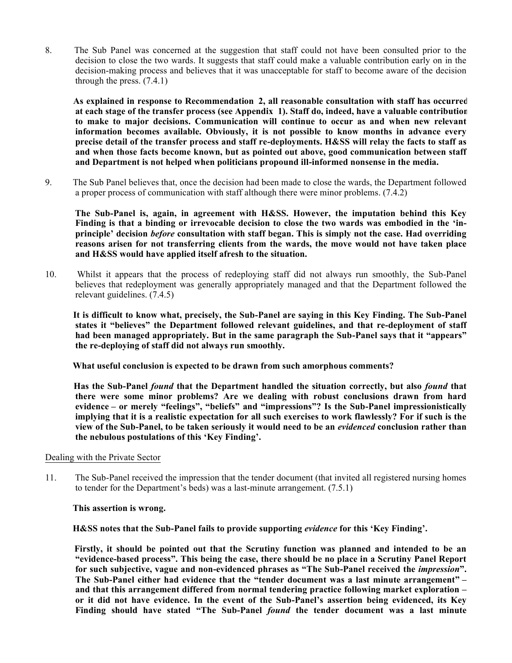8. The Sub Panel was concerned at the suggestion that staff could not have been consulted prior to the decision to close the two wards. It suggests that staff could make a valuable contribution early on in the decision-making process and believes that it was unacceptable for staff to become aware of the decision through the press.  $(7.4.1)$ 

 **As explained in response to Recommendation 2, all reasonable consultation with staff has occurred at each stage of the transfer process (see Appendix 1). Staff do, indeed, have a valuable contribution to make to major decisions. Communication will continue to occur as and when new relevant information becomes available. Obviously, it is not possible to know months in advance every precise detail of the transfer process and staff re-deployments. H&SS will relay the facts to staff as and when those facts become known, but as pointed out above, good communication between staff and Department is not helped when politicians propound ill-informed nonsense in the media.**

9. The Sub Panel believes that, once the decision had been made to close the wards, the Department followed a proper process of communication with staff although there were minor problems. (7.4.2)

 **The Sub-Panel is, again, in agreement with H&SS. However, the imputation behind this Key Finding is that a binding or irrevocable decision to close the two wards was embodied in the 'inprinciple' decision** *before* **consultation with staff began. This is simply not the case. Had overriding reasons arisen for not transferring clients from the wards, the move would not have taken place and H&SS would have applied itself afresh to the situation.**

10. Whilst it appears that the process of redeploying staff did not always run smoothly, the Sub-Panel believes that redeployment was generally appropriately managed and that the Department followed the relevant guidelines. (7.4.5)

 **It is difficult to know what, precisely, the Sub-Panel are saying in this Key Finding. The Sub-Panel states it "believes" the Department followed relevant guidelines, and that re-deployment of staff had been managed appropriately. But in the same paragraph the Sub-Panel says that it "appears" the re-deploying of staff did not always run smoothly.**

 **What useful conclusion is expected to be drawn from such amorphous comments?**

 **Has the Sub-Panel** *found* **that the Department handled the situation correctly, but also** *found* **that there were some minor problems? Are we dealing with robust conclusions drawn from hard evidence – or merely "feelings", "beliefs" and "impressions"? Is the Sub-Panel impressionistically implying that it is a realistic expectation for all such exercises to work flawlessly? For if such is the view of the Sub-Panel, to be taken seriously it would need to be an** *evidenced* **conclusion rather than the nebulous postulations of this 'Key Finding'.**

#### Dealing with the Private Sector

11. The Sub-Panel received the impression that the tender document (that invited all registered nursing homes to tender for the Department's beds) was a last-minute arrangement. (7.5.1)

#### **This assertion is wrong.**

 **H&SS notes that the Sub-Panel fails to provide supporting** *evidence* **for this 'Key Finding'.**

 **Firstly, it should be pointed out that the Scrutiny function was planned and intended to be an "evidence-based process". This being the case, there should be no place in a Scrutiny Panel Report for such subjective, vague and non-evidenced phrases as "The Sub-Panel received the** *impression***". The Sub-Panel either had evidence that the "tender document was a last minute arrangement" – and that this arrangement differed from normal tendering practice following market exploration – or it did not have evidence. In the event of the Sub-Panel's assertion being evidenced, its Key Finding should have stated "The Sub-Panel** *found* **the tender document was a last minute**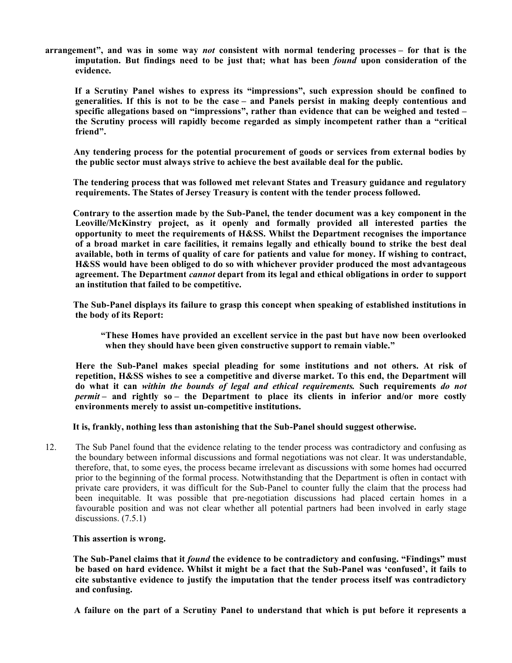**arrangement", and was in some way** *not* **consistent with normal tendering processes – for that is the imputation. But findings need to be just that; what has been** *found* **upon consideration of the evidence.**

 **If a Scrutiny Panel wishes to express its "impressions", such expression should be confined to generalities. If this is not to be the case – and Panels persist in making deeply contentious and specific allegations based on "impressions", rather than evidence that can be weighed and tested – the Scrutiny process will rapidly become regarded as simply incompetent rather than a "critical friend".**

 **Any tendering process for the potential procurement of goods or services from external bodies by the public sector must always strive to achieve the best available deal for the public.**

 **The tendering process that was followed met relevant States and Treasury guidance and regulatory requirements. The States of Jersey Treasury is content with the tender process followed.**

 **Contrary to the assertion made by the Sub-Panel, the tender document was a key component in the Leoville/McKinstry project, as it openly and formally provided all interested parties the opportunity to meet the requirements of H&SS. Whilst the Department recognises the importance of a broad market in care facilities, it remains legally and ethically bound to strike the best deal available, both in terms of quality of care for patients and value for money. If wishing to contract, H&SS would have been obliged to do so with whichever provider produced the most advantageous agreement. The Department** *cannot* **depart from its legal and ethical obligations in order to support an institution that failed to be competitive.**

 **The Sub-Panel displays its failure to grasp this concept when speaking of established institutions in the body of its Report:**

 **"These Homes have provided an excellent service in the past but have now been overlooked when they should have been given constructive support to remain viable."**

 **Here the Sub-Panel makes special pleading for some institutions and not others. At risk of repetition, H&SS wishes to see a competitive and diverse market. To this end, the Department will do what it can** *within the bounds of legal and ethical requirements.* **Such requirements** *do not permit* **– and rightly so – the Department to place its clients in inferior and/or more costly environments merely to assist un-competitive institutions.**

 **It is, frankly, nothing less than astonishing that the Sub-Panel should suggest otherwise.**

12. The Sub Panel found that the evidence relating to the tender process was contradictory and confusing as the boundary between informal discussions and formal negotiations was not clear. It was understandable, therefore, that, to some eyes, the process became irrelevant as discussions with some homes had occurred prior to the beginning of the formal process. Notwithstanding that the Department is often in contact with private care providers, it was difficult for the Sub-Panel to counter fully the claim that the process had been inequitable. It was possible that pre-negotiation discussions had placed certain homes in a favourable position and was not clear whether all potential partners had been involved in early stage discussions.  $(7.5.1)$ 

 **This assertion is wrong.**

 **The Sub-Panel claims that it** *found* **the evidence to be contradictory and confusing. "Findings" must be based on hard evidence. Whilst it might be a fact that the Sub-Panel was 'confused', it fails to cite substantive evidence to justify the imputation that the tender process itself was contradictory and confusing.**

 **A failure on the part of a Scrutiny Panel to understand that which is put before it represents a**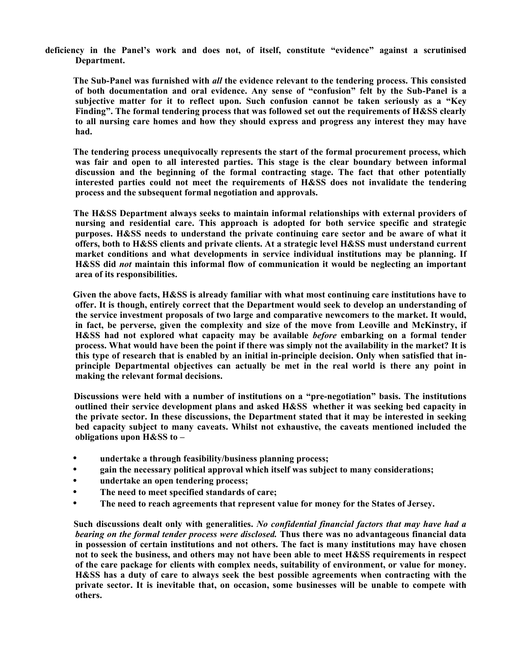**deficiency in the Panel's work and does not, of itself, constitute "evidence" against a scrutinised Department.**

 **The Sub-Panel was furnished with** *all* **the evidence relevant to the tendering process. This consisted of both documentation and oral evidence. Any sense of "confusion" felt by the Sub-Panel is a subjective matter for it to reflect upon. Such confusion cannot be taken seriously as a "Key Finding". The formal tendering process that was followed set out the requirements of H&SS clearly to all nursing care homes and how they should express and progress any interest they may have had.**

 **The tendering process unequivocally represents the start of the formal procurement process, which was fair and open to all interested parties. This stage is the clear boundary between informal discussion and the beginning of the formal contracting stage. The fact that other potentially interested parties could not meet the requirements of H&SS does not invalidate the tendering process and the subsequent formal negotiation and approvals.**

 **The H&SS Department always seeks to maintain informal relationships with external providers of nursing and residential care. This approach is adopted for both service specific and strategic purposes. H&SS needs to understand the private continuing care sector and be aware of what it offers, both to H&SS clients and private clients. At a strategic level H&SS must understand current market conditions and what developments in service individual institutions may be planning. If H&SS did** *not* **maintain this informal flow of communication it would be neglecting an important area of its responsibilities.**

 **Given the above facts, H&SS is already familiar with what most continuing care institutions have to offer. It is though, entirely correct that the Department would seek to develop an understanding of the service investment proposals of two large and comparative newcomers to the market. It would, in fact, be perverse, given the complexity and size of the move from Leoville and McKinstry, if H&SS had not explored what capacity may be available** *before* **embarking on a formal tender process. What would have been the point if there was simply not the availability in the market? It is this type of research that is enabled by an initial in-principle decision. Only when satisfied that inprinciple Departmental objectives can actually be met in the real world is there any point in making the relevant formal decisions.**

 **Discussions were held with a number of institutions on a "pre-negotiation" basis. The institutions outlined their service development plans and asked H&SS whether it was seeking bed capacity in the private sector. In these discussions, the Department stated that it may be interested in seeking bed capacity subject to many caveats. Whilst not exhaustive, the caveats mentioned included the obligations upon H&SS to –**

- **undertake a through feasibility/business planning process;**
- **gain the necessary political approval which itself was subject to many considerations;**
- **undertake an open tendering process;**
- **The need to meet specified standards of care;**
- **The need to reach agreements that represent value for money for the States of Jersey.**

 **Such discussions dealt only with generalities.** *No confidential financial factors that may have had a bearing on the formal tender process were disclosed.* **Thus there was no advantageous financial data in possession of certain institutions and not others. The fact is many institutions may have chosen not to seek the business, and others may not have been able to meet H&SS requirements in respect of the care package for clients with complex needs, suitability of environment, or value for money. H&SS has a duty of care to always seek the best possible agreements when contracting with the private sector. It is inevitable that, on occasion, some businesses will be unable to compete with others.**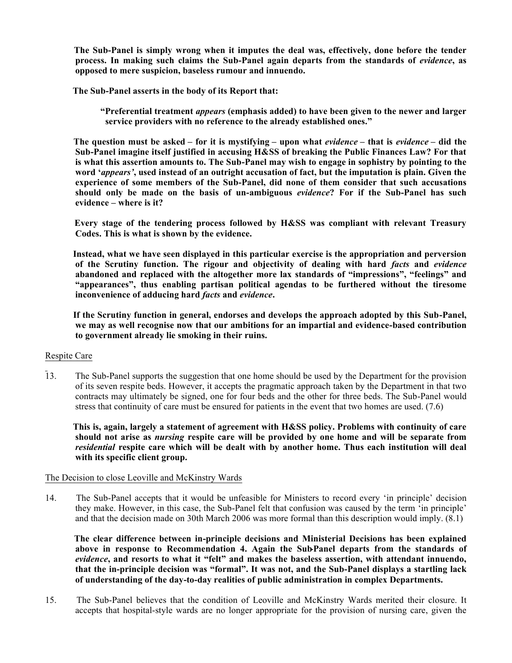**The Sub-Panel is simply wrong when it imputes the deal was, effectively, done before the tender process. In making such claims the Sub-Panel again departs from the standards of** *evidence***, as opposed to mere suspicion, baseless rumour and innuendo.**

 **The Sub-Panel asserts in the body of its Report that:**

 **"Preferential treatment** *appears* **(emphasis added) to have been given to the newer and larger service providers with no reference to the already established ones."**

 **The question must be asked – for it is mystifying – upon what** *evidence* **– that is** *evidence* **– did the Sub-Panel imagine itself justified in accusing H&SS of breaking the Public Finances Law? For that is what this assertion amounts to. The Sub-Panel may wish to engage in sophistry by pointing to the word '***appears'***, used instead of an outright accusation of fact, but the imputation is plain. Given the experience of some members of the Sub-Panel, did none of them consider that such accusations should only be made on the basis of un-ambiguous** *evidence***? For if the Sub-Panel has such evidence – where is it?**

 **Every stage of the tendering process followed by H&SS was compliant with relevant Treasury Codes. This is what is shown by the evidence.**

 **Instead, what we have seen displayed in this particular exercise is the appropriation and perversion of the Scrutiny function. The rigour and objectivity of dealing with hard** *facts* **and** *evidence* **abandoned and replaced with the altogether more lax standards of "impressions", "feelings" and "appearances", thus enabling partisan political agendas to be furthered without the tiresome inconvenience of adducing hard** *facts* **and** *evidence***.**

 **If the Scrutiny function in general, endorses and develops the approach adopted by this Sub-Panel, we may as well recognise now that our ambitions for an impartial and evidence-based contribution to government already lie smoking in their ruins.**

#### Respite Care

13. The Sub-Panel supports the suggestion that one home should be used by the Department for the provision of its seven respite beds. However, it accepts the pragmatic approach taken by the Department in that two contracts may ultimately be signed, one for four beds and the other for three beds. The Sub-Panel would stress that continuity of care must be ensured for patients in the event that two homes are used. (7.6)

 **This is, again, largely a statement of agreement with H&SS policy. Problems with continuity of care should not arise as** *nursing* **respite care will be provided by one home and will be separate from** *residential* **respite care which will be dealt with by another home. Thus each institution will deal with its specific client group.**

#### The Decision to close Leoville and McKinstry Wards

14. The Sub-Panel accepts that it would be unfeasible for Ministers to record every 'in principle' decision they make. However, in this case, the Sub-Panel felt that confusion was caused by the term 'in principle' and that the decision made on 30th March 2006 was more formal than this description would imply. (8.1)

 **The clear difference between in-principle decisions and Ministerial Decisions has been explained above in response to Recommendation 4. Again the Sub-Panel departs from the standards of** *evidence***, and resorts to what it "felt" and makes the baseless assertion, with attendant innuendo, that the in-principle decision was "formal". It was not, and the Sub-Panel displays a startling lack of understanding of the day-to-day realities of public administration in complex Departments.**

15. The Sub-Panel believes that the condition of Leoville and McKinstry Wards merited their closure. It accepts that hospital-style wards are no longer appropriate for the provision of nursing care, given the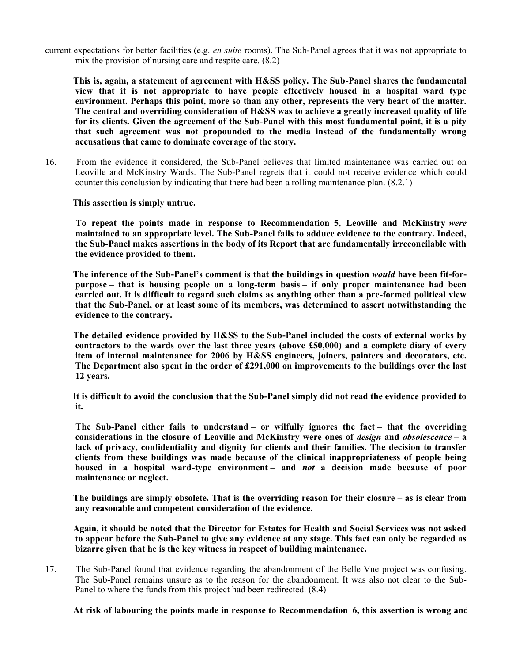current expectations for better facilities (e.g. *en suite* rooms). The Sub-Panel agrees that it was not appropriate to mix the provision of nursing care and respite care. (8.2)

 **This is, again, a statement of agreement with H&SS policy. The Sub-Panel shares the fundamental view that it is not appropriate to have people effectively housed in a hospital ward type environment. Perhaps this point, more so than any other, represents the very heart of the matter. The central and overriding consideration of H&SS was to achieve a greatly increased quality of life for its clients. Given the agreement of the Sub-Panel with this most fundamental point, it is a pity that such agreement was not propounded to the media instead of the fundamentally wrong accusations that came to dominate coverage of the story.**

16. From the evidence it considered, the Sub-Panel believes that limited maintenance was carried out on Leoville and McKinstry Wards. The Sub-Panel regrets that it could not receive evidence which could counter this conclusion by indicating that there had been a rolling maintenance plan. (8.2.1)

 **This assertion is simply untrue.**

 **To repeat the points made in response to Recommendation 5, Leoville and McKinstry** *were* **maintained to an appropriate level. The Sub-Panel fails to adduce evidence to the contrary. Indeed, the Sub-Panel makes assertions in the body of its Report that are fundamentally irreconcilable with the evidence provided to them.**

 **The inference of the Sub-Panel's comment is that the buildings in question** *would* **have been fit-forpurpose – that is housing people on a long-term basis – if only proper maintenance had been carried out. It is difficult to regard such claims as anything other than a pre-formed political view that the Sub-Panel, or at least some of its members, was determined to assert notwithstanding the evidence to the contrary.**

 **The detailed evidence provided by H&SS to the Sub-Panel included the costs of external works by contractors to the wards over the last three years (above £50,000) and a complete diary of every item of internal maintenance for 2006 by H&SS engineers, joiners, painters and decorators, etc. The Department also spent in the order of £291,000 on improvements to the buildings over the last 12 years.**

 **It is difficult to avoid the conclusion that the Sub-Panel simply did not read the evidence provided to it.**

 **The Sub-Panel either fails to understand – or wilfully ignores the fact – that the overriding considerations in the closure of Leoville and McKinstry were ones of** *design* **and** *obsolescence* **– a lack of privacy, confidentiality and dignity for clients and their families. The decision to transfer clients from these buildings was made because of the clinical inappropriateness of people being housed in a hospital ward-type environment – and** *not* **a decision made because of poor maintenance or neglect.**

 **The buildings are simply obsolete. That is the overriding reason for their closure – as is clear from any reasonable and competent consideration of the evidence.**

 **Again, it should be noted that the Director for Estates for Health and Social Services was not asked to appear before the Sub-Panel to give any evidence at any stage. This fact can only be regarded as bizarre given that he is the key witness in respect of building maintenance.**

17. The Sub-Panel found that evidence regarding the abandonment of the Belle Vue project was confusing. The Sub-Panel remains unsure as to the reason for the abandonment. It was also not clear to the Sub-Panel to where the funds from this project had been redirected. (8.4)

 **At risk of labouring the points made in response to Recommendation 6, this assertion is wrong and**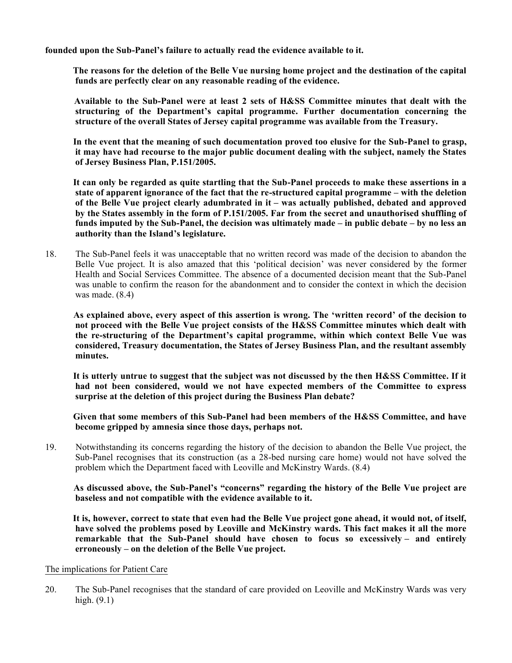**founded upon the Sub-Panel's failure to actually read the evidence available to it.**

 **The reasons for the deletion of the Belle Vue nursing home project and the destination of the capital funds are perfectly clear on any reasonable reading of the evidence.**

 **Available to the Sub-Panel were at least 2 sets of H&SS Committee minutes that dealt with the structuring of the Department's capital programme. Further documentation concerning the structure of the overall States of Jersey capital programme was available from the Treasury.**

 **In the event that the meaning of such documentation proved too elusive for the Sub-Panel to grasp, it may have had recourse to the major public document dealing with the subject, namely the States of Jersey Business Plan, P.151/2005.**

 **It can only be regarded as quite startling that the Sub-Panel proceeds to make these assertions in a state of apparent ignorance of the fact that the re-structured capital programme – with the deletion of the Belle Vue project clearly adumbrated in it – was actually published, debated and approved by the States assembly in the form of P.151/2005. Far from the secret and unauthorised shuffling of funds imputed by the Sub-Panel, the decision was ultimately made – in public debate – by no less an authority than the Island's legislature.**

18. The Sub-Panel feels it was unacceptable that no written record was made of the decision to abandon the Belle Vue project. It is also amazed that this 'political decision' was never considered by the former Health and Social Services Committee. The absence of a documented decision meant that the Sub-Panel was unable to confirm the reason for the abandonment and to consider the context in which the decision was made. (8.4)

 **As explained above, every aspect of this assertion is wrong. The 'written record' of the decision to not proceed with the Belle Vue project consists of the H&SS Committee minutes which dealt with the re-structuring of the Department's capital programme, within which context Belle Vue was considered, Treasury documentation, the States of Jersey Business Plan, and the resultant assembly minutes.**

 **It is utterly untrue to suggest that the subject was not discussed by the then H&SS Committee. If it had not been considered, would we not have expected members of the Committee to express surprise at the deletion of this project during the Business Plan debate?**

 **Given that some members of this Sub-Panel had been members of the H&SS Committee, and have become gripped by amnesia since those days, perhaps not.**

19. Notwithstanding its concerns regarding the history of the decision to abandon the Belle Vue project, the Sub-Panel recognises that its construction (as a 28-bed nursing care home) would not have solved the problem which the Department faced with Leoville and McKinstry Wards. (8.4)

 **As discussed above, the Sub-Panel's "concerns" regarding the history of the Belle Vue project are baseless and not compatible with the evidence available to it.**

 **It is, however, correct to state that even had the Belle Vue project gone ahead, it would not, of itself, have solved the problems posed by Leoville and McKinstry wards. This fact makes it all the more remarkable that the Sub-Panel should have chosen to focus so excessively – and entirely erroneously – on the deletion of the Belle Vue project.**

#### The implications for Patient Care

20. The Sub-Panel recognises that the standard of care provided on Leoville and McKinstry Wards was very high. (9.1)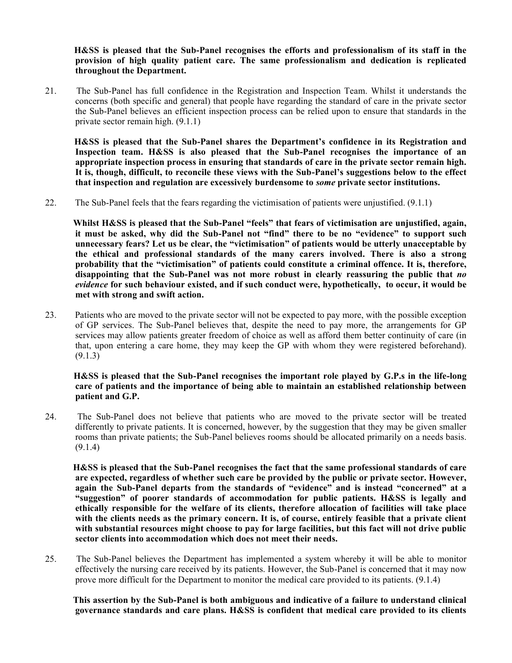**H&SS is pleased that the Sub-Panel recognises the efforts and professionalism of its staff in the provision of high quality patient care. The same professionalism and dedication is replicated throughout the Department.**

21. The Sub-Panel has full confidence in the Registration and Inspection Team. Whilst it understands the concerns (both specific and general) that people have regarding the standard of care in the private sector the Sub-Panel believes an efficient inspection process can be relied upon to ensure that standards in the private sector remain high. (9.1.1)

 **H&SS is pleased that the Sub-Panel shares the Department's confidence in its Registration and Inspection team. H&SS is also pleased that the Sub-Panel recognises the importance of an appropriate inspection process in ensuring that standards of care in the private sector remain high. It is, though, difficult, to reconcile these views with the Sub-Panel's suggestions below to the effect that inspection and regulation are excessively burdensome to** *some* **private sector institutions.**

22. The Sub-Panel feels that the fears regarding the victimisation of patients were unjustified. (9.1.1)

 **Whilst H&SS is pleased that the Sub-Panel "feels" that fears of victimisation are unjustified, again, it must be asked, why did the Sub-Panel not "find" there to be no "evidence" to support such unnecessary fears? Let us be clear, the "victimisation" of patients would be utterly unacceptable by the ethical and professional standards of the many carers involved. There is also a strong probability that the "victimisation" of patients could constitute a criminal offence. It is, therefore, disappointing that the Sub-Panel was not more robust in clearly reassuring the public that** *no evidence* **for such behaviour existed, and if such conduct were, hypothetically, to occur, it would be met with strong and swift action.**

23. Patients who are moved to the private sector will not be expected to pay more, with the possible exception of GP services. The Sub-Panel believes that, despite the need to pay more, the arrangements for GP services may allow patients greater freedom of choice as well as afford them better continuity of care (in that, upon entering a care home, they may keep the GP with whom they were registered beforehand). (9.1.3)

 **H&SS is pleased that the Sub-Panel recognises the important role played by G.P.s in the life-long care of patients and the importance of being able to maintain an established relationship between patient and G.P.**

24. The Sub-Panel does not believe that patients who are moved to the private sector will be treated differently to private patients. It is concerned, however, by the suggestion that they may be given smaller rooms than private patients; the Sub-Panel believes rooms should be allocated primarily on a needs basis. (9.1.4)

 **H&SS is pleased that the Sub-Panel recognises the fact that the same professional standards of care are expected, regardless of whether such care be provided by the public or private sector. However, again the Sub-Panel departs from the standards of "evidence" and is instead "concerned" at a "suggestion" of poorer standards of accommodation for public patients. H&SS is legally and ethically responsible for the welfare of its clients, therefore allocation of facilities will take place with the clients needs as the primary concern. It is, of course, entirely feasible that a private client with substantial resources might choose to pay for large facilities, but this fact will not drive public sector clients into accommodation which does not meet their needs.**

25. The Sub-Panel believes the Department has implemented a system whereby it will be able to monitor effectively the nursing care received by its patients. However, the Sub-Panel is concerned that it may now prove more difficult for the Department to monitor the medical care provided to its patients. (9.1.4)

 **This assertion by the Sub-Panel is both ambiguous and indicative of a failure to understand clinical governance standards and care plans. H&SS is confident that medical care provided to its clients**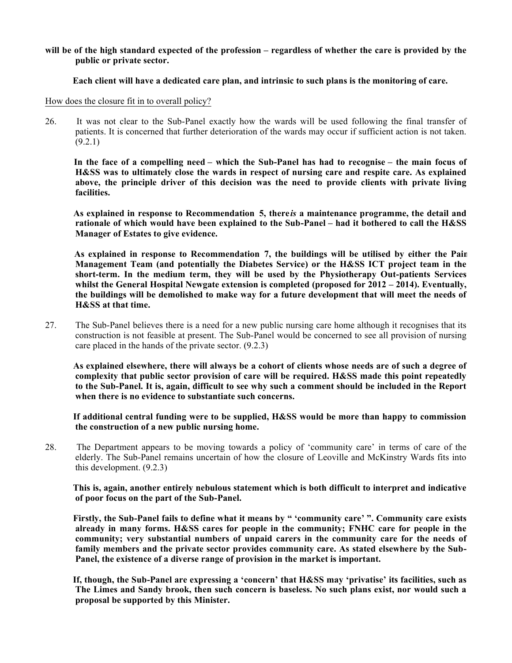### **will be of the high standard expected of the profession – regardless of whether the care is provided by the public or private sector.**

# **Each client will have a dedicated care plan, and intrinsic to such plans is the monitoring of care.**

How does the closure fit in to overall policy?

26. It was not clear to the Sub-Panel exactly how the wards will be used following the final transfer of patients. It is concerned that further deterioration of the wards may occur if sufficient action is not taken. (9.2.1)

 **In the face of a compelling need – which the Sub-Panel has had to recognise – the main focus of H&SS was to ultimately close the wards in respect of nursing care and respite care. As explained above, the principle driver of this decision was the need to provide clients with private living facilities.**

 **As explained in response to Recommendation 5, there***is* **a maintenance programme, the detail and rationale of which would have been explained to the Sub-Panel – had it bothered to call the H&SS Manager of Estates to give evidence.**

 **As explained in response to Recommendation 7, the buildings will be utilised by either the Pain Management Team (and potentially the Diabetes Service) or the H&SS ICT project team in the short-term. In the medium term, they will be used by the Physiotherapy Out-patients Services whilst the General Hospital Newgate extension is completed (proposed for 2012 – 2014). Eventually, the buildings will be demolished to make way for a future development that will meet the needs of H&SS at that time.**

27. The Sub-Panel believes there is a need for a new public nursing care home although it recognises that its construction is not feasible at present. The Sub-Panel would be concerned to see all provision of nursing care placed in the hands of the private sector. (9.2.3)

 **As explained elsewhere, there will always be a cohort of clients whose needs are of such a degree of complexity that public sector provision of care will be required. H&SS made this point repeatedly to the Sub-Panel. It is, again, difficult to see why such a comment should be included in the Report when there is no evidence to substantiate such concerns.**

 **If additional central funding were to be supplied, H&SS would be more than happy to commission the construction of a new public nursing home.**

28. The Department appears to be moving towards a policy of 'community care' in terms of care of the elderly. The Sub-Panel remains uncertain of how the closure of Leoville and McKinstry Wards fits into this development. (9.2.3)

 **This is, again, another entirely nebulous statement which is both difficult to interpret and indicative of poor focus on the part of the Sub-Panel.**

 **Firstly, the Sub-Panel fails to define what it means by " 'community care' ". Community care exists already in many forms. H&SS cares for people in the community; FNHC care for people in the community; very substantial numbers of unpaid carers in the community care for the needs of family members and the private sector provides community care. As stated elsewhere by the Sub-Panel, the existence of a diverse range of provision in the market is important.**

 **If, though, the Sub-Panel are expressing a 'concern' that H&SS may 'privatise' its facilities, such as The Limes and Sandy brook, then such concern is baseless. No such plans exist, nor would such a proposal be supported by this Minister.**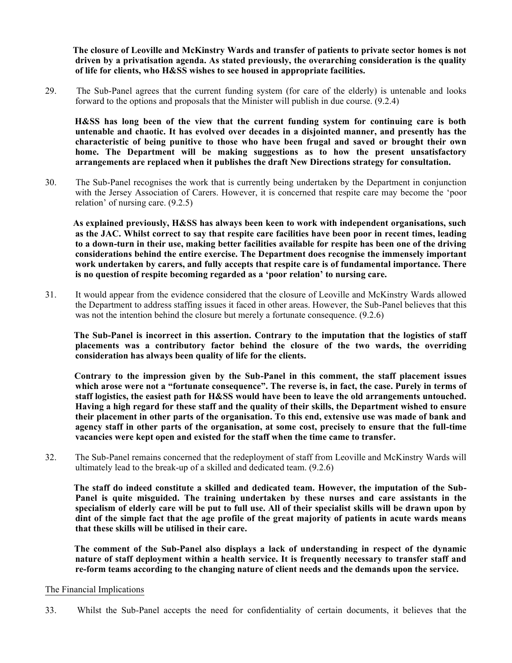**The closure of Leoville and McKinstry Wards and transfer of patients to private sector homes is not driven by a privatisation agenda. As stated previously, the overarching consideration is the quality of life for clients, who H&SS wishes to see housed in appropriate facilities.**

29. The Sub-Panel agrees that the current funding system (for care of the elderly) is untenable and looks forward to the options and proposals that the Minister will publish in due course. (9.2.4)

 **H&SS has long been of the view that the current funding system for continuing care is both untenable and chaotic. It has evolved over decades in a disjointed manner, and presently has the characteristic of being punitive to those who have been frugal and saved or brought their own home. The Department will be making suggestions as to how the present unsatisfactory arrangements are replaced when it publishes the draft New Directions strategy for consultation.**

30. The Sub-Panel recognises the work that is currently being undertaken by the Department in conjunction with the Jersey Association of Carers. However, it is concerned that respite care may become the 'poor relation' of nursing care. (9.2.5)

 **As explained previously, H&SS has always been keen to work with independent organisations, such as the JAC. Whilst correct to say that respite care facilities have been poor in recent times, leading to a down-turn in their use, making better facilities available for respite has been one of the driving considerations behind the entire exercise. The Department does recognise the immensely important work undertaken by carers, and fully accepts that respite care is of fundamental importance. There is no question of respite becoming regarded as a 'poor relation' to nursing care.**

31. It would appear from the evidence considered that the closure of Leoville and McKinstry Wards allowed the Department to address staffing issues it faced in other areas. However, the Sub-Panel believes that this was not the intention behind the closure but merely a fortunate consequence. (9.2.6)

 **The Sub-Panel is incorrect in this assertion. Contrary to the imputation that the logistics of staff placements was a contributory factor behind the closure of the two wards, the overriding consideration has always been quality of life for the clients.**

 **Contrary to the impression given by the Sub-Panel in this comment, the staff placement issues which arose were not a "fortunate consequence". The reverse is, in fact, the case. Purely in terms of staff logistics, the easiest path for H&SS would have been to leave the old arrangements untouched. Having a high regard for these staff and the quality of their skills, the Department wished to ensure their placement in other parts of the organisation. To this end, extensive use was made of bank and agency staff in other parts of the organisation, at some cost, precisely to ensure that the full-time vacancies were kept open and existed for the staff when the time came to transfer.**

32. The Sub-Panel remains concerned that the redeployment of staff from Leoville and McKinstry Wards will ultimately lead to the break-up of a skilled and dedicated team. (9.2.6)

 **The staff do indeed constitute a skilled and dedicated team. However, the imputation of the Sub-Panel is quite misguided. The training undertaken by these nurses and care assistants in the specialism of elderly care will be put to full use. All of their specialist skills will be drawn upon by dint of the simple fact that the age profile of the great majority of patients in acute wards means that these skills will be utilised in their care.**

 **The comment of the Sub-Panel also displays a lack of understanding in respect of the dynamic nature of staff deployment within a health service. It is frequently necessary to transfer staff and re-form teams according to the changing nature of client needs and the demands upon the service.**

#### The Financial Implications

33. Whilst the Sub-Panel accepts the need for confidentiality of certain documents, it believes that the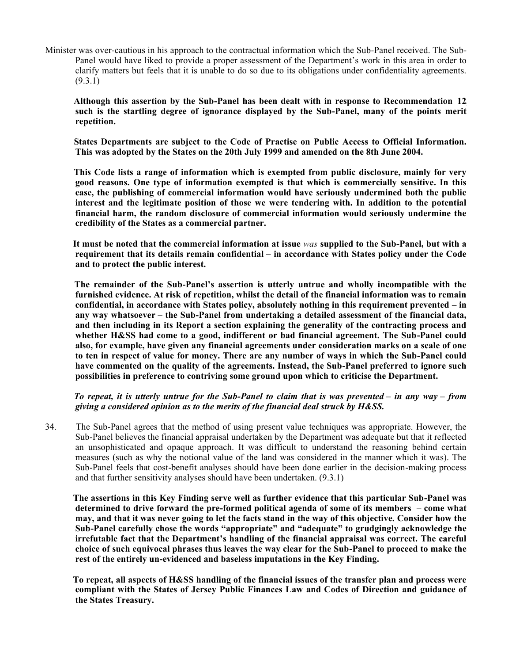Minister was over-cautious in his approach to the contractual information which the Sub-Panel received. The Sub-Panel would have liked to provide a proper assessment of the Department's work in this area in order to clarify matters but feels that it is unable to do so due to its obligations under confidentiality agreements.  $(9.3.1)$ 

 **Although this assertion by the Sub-Panel has been dealt with in response to Recommendation 12, such is the startling degree of ignorance displayed by the Sub-Panel, many of the points merit repetition.**

 **States Departments are subject to the Code of Practise on Public Access to Official Information. This was adopted by the States on the 20th July 1999 and amended on the 8th June 2004.**

 **This Code lists a range of information which is exempted from public disclosure, mainly for very good reasons. One type of information exempted is that which is commercially sensitive. In this case, the publishing of commercial information would have seriously undermined both the public interest and the legitimate position of those we were tendering with. In addition to the potential financial harm, the random disclosure of commercial information would seriously undermine the credibility of the States as a commercial partner.**

 **It must be noted that the commercial information at issue** *was* **supplied to the Sub-Panel, but with a requirement that its details remain confidential – in accordance with States policy under the Code and to protect the public interest.**

 **The remainder of the Sub-Panel's assertion is utterly untrue and wholly incompatible with the furnished evidence. At risk of repetition, whilst the detail of the financial information was to remain confidential, in accordance with States policy, absolutely nothing in this requirement prevented – in any way whatsoever – the Sub-Panel from undertaking a detailed assessment of the financial data, and then including in its Report a section explaining the generality of the contracting process and whether H&SS had come to a good, indifferent or bad financial agreement. The Sub-Panel could also, for example, have given any financial agreements under consideration marks on a scale of one to ten in respect of value for money. There are any number of ways in which the Sub-Panel could have commented on the quality of the agreements. Instead, the Sub-Panel preferred to ignore such possibilities in preference to contriving some ground upon which to criticise the Department.**

 *To repeat, it is utterly untrue for the Sub-Panel to claim that is was prevented – in any way – from giving a considered opinion as to the merits of the financial deal struck by H&SS.*

34. The Sub-Panel agrees that the method of using present value techniques was appropriate. However, the Sub-Panel believes the financial appraisal undertaken by the Department was adequate but that it reflected an unsophisticated and opaque approach. It was difficult to understand the reasoning behind certain measures (such as why the notional value of the land was considered in the manner which it was). The Sub-Panel feels that cost-benefit analyses should have been done earlier in the decision-making process and that further sensitivity analyses should have been undertaken. (9.3.1)

 **The assertions in this Key Finding serve well as further evidence that this particular Sub-Panel was determined to drive forward the pre-formed political agenda of some of its members – come what may, and that it was never going to let the facts stand in the way of this objective. Consider how the Sub-Panel carefully chose the words "appropriate" and "adequate" to grudgingly acknowledge the irrefutable fact that the Department's handling of the financial appraisal was correct. The careful choice of such equivocal phrases thus leaves the way clear for the Sub-Panel to proceed to make the rest of the entirely un-evidenced and baseless imputations in the Key Finding.**

 **To repeat, all aspects of H&SS handling of the financial issues of the transfer plan and process were compliant with the States of Jersey Public Finances Law and Codes of Direction and guidance of the States Treasury.**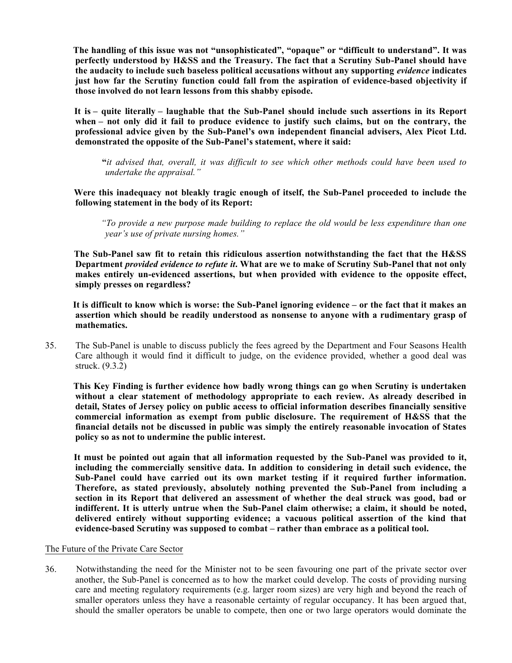**The handling of this issue was not "unsophisticated", "opaque" or "difficult to understand". It was perfectly understood by H&SS and the Treasury. The fact that a Scrutiny Sub-Panel should have the audacity to include such baseless political accusations without any supporting** *evidence* **indicates just how far the Scrutiny function could fall from the aspiration of evidence-based objectivity if those involved do not learn lessons from this shabby episode.**

 **It is– quite literally – laughable that the Sub-Panel should include such assertions in its Report when – not only did it fail to produce evidence to justify such claims, but on the contrary, the professional advice given by the Sub-Panel's own independent financial advisers, Alex Picot Ltd. demonstrated the opposite of the Sub-Panel's statement, where it said:**

 **"***it advised that, overall, it was difficult to see which other methods could have been used to undertake the appraisal."*

Were this inadequacy not bleakly tragic enough of itself, the Sub-Panel proceeded to include the **following statement in the body of its Report:**

 *"To provide a new purpose made building to replace the old would be less expenditure than one year's use of private nursing homes."*

 **The Sub-Panel saw fit to retain this ridiculous assertion notwithstanding the fact that the H&SS Department** *provided evidence to refute it***. What are we to make of Scrutiny Sub-Panel that not only makes entirely un-evidenced assertions, but when provided with evidence to the opposite effect, simply presses on regardless?**

 **It is difficult to know which is worse: the Sub-Panel ignoring evidence – or the fact that it makes an assertion which should be readily understood as nonsense to anyone with a rudimentary grasp of mathematics.**

35. The Sub-Panel is unable to discuss publicly the fees agreed by the Department and Four Seasons Health Care although it would find it difficult to judge, on the evidence provided, whether a good deal was struck. (9.3.2)

 **This Key Finding is further evidence how badly wrong things can go when Scrutiny is undertaken without a clear statement of methodology appropriate to each review. As already described in detail, States of Jersey policy on public access to official information describes financially sensitive commercial information as exempt from public disclosure. The requirement of H&SS that the financial details not be discussed in public was simply the entirely reasonable invocation of States policy so as not to undermine the public interest.**

 **It must be pointed out again that all information requested by the Sub-Panel was provided to it, including the commercially sensitive data. In addition to considering in detail such evidence, the Sub-Panel could have carried out its own market testing if it required further information. Therefore, as stated previously, absolutely nothing prevented the Sub-Panel from including a section in its Report that delivered an assessment of whether the deal struck was good, bad or indifferent. It is utterly untrue when the Sub-Panel claim otherwise; a claim, it should be noted, delivered entirely without supporting evidence; a vacuous political assertion of the kind that evidence-based Scrutiny was supposed to combat – rather than embrace as a political tool.**

#### The Future of the Private Care Sector

36. Notwithstanding the need for the Minister not to be seen favouring one part of the private sector over another, the Sub-Panel is concerned as to how the market could develop. The costs of providing nursing care and meeting regulatory requirements (e.g. larger room sizes) are very high and beyond the reach of smaller operators unless they have a reasonable certainty of regular occupancy. It has been argued that, should the smaller operators be unable to compete, then one or two large operators would dominate the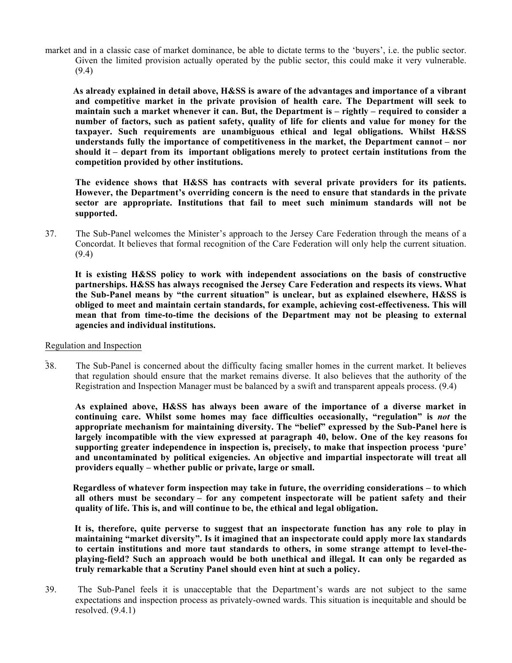market and in a classic case of market dominance, be able to dictate terms to the 'buyers', i.e. the public sector. Given the limited provision actually operated by the public sector, this could make it very vulnerable. (9.4)

 **As already explained in detail above, H&SS is aware of the advantages and importance of a vibrant and competitive market in the private provision of health care. The Department will seek to maintain such a market whenever it can. But, the Department is – rightly – required to consider a number of factors, such as patient safety, quality of life for clients and value for money for the taxpayer. Such requirements are unambiguous ethical and legal obligations. Whilst H&SS understands fully the importance of competitiveness in the market, the Department cannot – nor should it – depart from its important obligations merely to protect certain institutions from the competition provided by other institutions.**

 **The evidence shows that H&SS has contracts with several private providers for its patients. However, the Department's overriding concern is the need to ensure that standards in the private sector are appropriate. Institutions that fail to meet such minimum standards will not be supported.**

37. The Sub-Panel welcomes the Minister's approach to the Jersey Care Federation through the means of a Concordat. It believes that formal recognition of the Care Federation will only help the current situation. (9.4)

 **It is existing H&SS policy to work with independent associations on the basis of constructive partnerships. H&SS has always recognised the Jersey Care Federation and respects its views. What the Sub-Panel means by "the current situation" is unclear, but as explained elsewhere, H&SS is obliged to meet and maintain certain standards, for example, achieving cost-effectiveness. This will mean that from time-to-time the decisions of the Department may not be pleasing to external agencies and individual institutions.**

### Regulation and Inspection

38. The Sub-Panel is concerned about the difficulty facing smaller homes in the current market. It believes that regulation should ensure that the market remains diverse. It also believes that the authority of the Registration and Inspection Manager must be balanced by a swift and transparent appeals process. (9.4)

 **As explained above, H&SS has always been aware of the importance of a diverse market in continuing care. Whilst some homes may face difficulties occasionally, "regulation" is** *not* **the appropriate mechanism for maintaining diversity. The "belief" expressed by the Sub-Panel here is largely incompatible with the view expressed at paragraph 40, below. One of the key reasons for supporting greater independence in inspection is, precisely, to make that inspection process 'pure' and uncontaminated by political exigencies. An objective and impartial inspectorate will treat all providers equally – whether public or private, large or small.**

 **Regardless of whatever form inspection may take in future, the overriding considerations – to which all others must be secondary – for any competent inspectorate will be patient safety and their quality of life. This is, and will continue to be, the ethical and legal obligation.**

 **It is, therefore, quite perverse to suggest that an inspectorate function has any role to play in maintaining "market diversity". Is it imagined that an inspectorate could apply more lax standards to certain institutions and more taut standards to others, in some strange attempt to level-theplaying-field? Such an approach would be both unethical and illegal. It can only be regarded as truly remarkable that a Scrutiny Panel should even hint at such a policy.**

39. The Sub-Panel feels it is unacceptable that the Department's wards are not subject to the same expectations and inspection process as privately-owned wards. This situation is inequitable and should be resolved.  $(9.4.1)$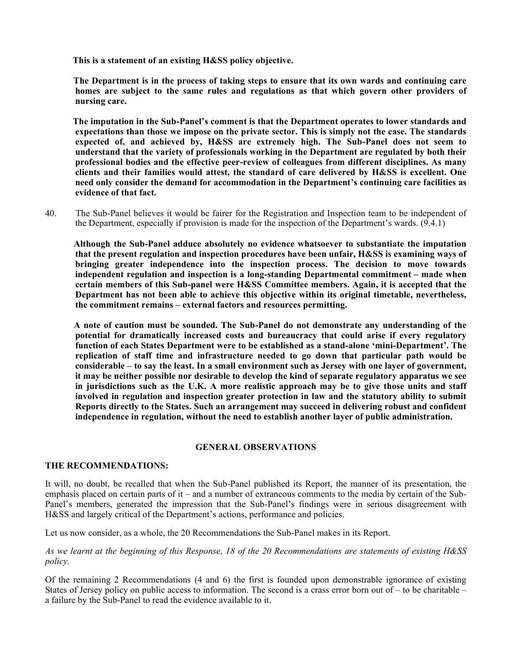**This is a statement of an existing H&SS policy objective.**

 **The Department is in the process of taking steps to ensure that its own wards and continuing care homes are subject to the same rules and regulations as that which govern other providers of nursing care.**

 **The imputation in the Sub-Panel's comment is that the Department operates to lower standards and expectations than those we impose on the private sector. This is simply not the case. The standards expected of, and achieved by, H&SS are extremely high. The Sub-Panel does not seem to understand that the variety of professionals working in the Department are regulated by both their professional bodies and the effective peer-review of colleagues from different disciplines. As many clients and their families would attest, the standard of care delivered by H&SS is excellent. One need only consider the demand for accommodation in the Department's continuing care facilities as evidence of that fact.**

40. The Sub-Panel believes it would be fairer for the Registration and Inspection team to be independent of the Department, especially if provision is made for the inspection of the Department's wards. (9.4.1)

 **Although the Sub-Panel adduce absolutely no evidence whatsoever to substantiate the imputation that the present regulation and inspection procedures have been unfair, H&SS is examining ways of bringing greater independence into the inspection process. The decision to move towards independent regulation and inspection is a long-standing Departmental commitment – made when certain members of this Sub-panel were H&SS Committee members. Again, it is accepted that the Department has not been able to achieve this objective within its original timetable, nevertheless, the commitment remains – external factors and resources permitting.**

 **A note of caution must be sounded. The Sub-Panel do not demonstrate any understanding of the potential for dramatically increased costs and bureaucracy that could arise if every regulatory function of each States Department were to be established as a stand-alone 'mini-Department'. The replication of staff time and infrastructure needed to go down that particular path would be considerable – to say the least. In a small environment such as Jersey with one layer of government, it may be neither possible nor desirable to develop the kind of separate regulatory apparatus we see in jurisdictions such as the U.K. A more realistic approach may be to give those units and staff involved in regulation and inspection greater protection in law and the statutory ability to submit Reports directly to the States. Such an arrangement may succeed in delivering robust and confident independence in regulation, without the need to establish another layer of public administration.**

#### **GENERAL OBSERVATIONS**

#### **THE RECOMMENDATIONS:**

It will, no doubt, be recalled that when the Sub-Panel published its Report, the manner of its presentation, the emphasis placed on certain parts of it – and a number of extraneous comments to the media by certain of the Sub-Panel's members, generated the impression that the Sub-Panel's findings were in serious disagreement with H&SS and largely critical of the Department's actions, performance and policies.

Let us now consider, as a whole, the 20 Recommendations the Sub-Panel makes in its Report.

## *As we learnt at the beginning of this Response, 18 of the 20 Recommendations are statements of existing H&SS policy.*

Of the remaining 2 Recommendations (4 and 6) the first is founded upon demonstrable ignorance of existing States of Jersey policy on public access to information. The second is a crass error born out of – to be charitable – a failure by the Sub-Panel to read the evidence available to it.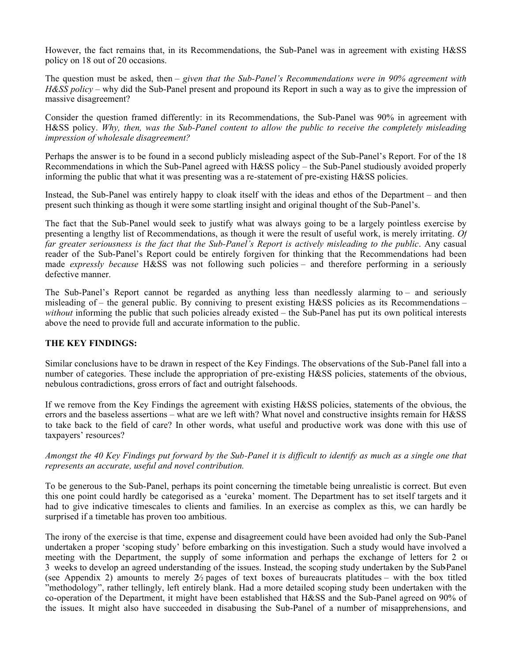However, the fact remains that, in its Recommendations, the Sub-Panel was in agreement with existing H&SS policy on 18 out of 20 occasions.

The question must be asked, then – *given that the Sub-Panel's Recommendations were in 90% agreement with H&SS policy* – why did the Sub-Panel present and propound its Report in such a way as to give the impression of massive disagreement?

Consider the question framed differently: in its Recommendations, the Sub-Panel was 90% in agreement with H&SS policy. *Why, then, was the Sub-Panel content to allow the public to receive the completely misleading impression of wholesale disagreement?*

Perhaps the answer is to be found in a second publicly misleading aspect of the Sub-Panel's Report. For of the 18 Recommendations in which the Sub-Panel agreed with H&SS policy – the Sub-Panel studiously avoided properly informing the public that what it was presenting was a re-statement of pre-existing H&SS policies.

Instead, the Sub-Panel was entirely happy to cloak itself with the ideas and ethos of the Department – and then present such thinking as though it were some startling insight and original thought of the Sub-Panel's.

The fact that the Sub-Panel would seek to justify what was always going to be a largely pointless exercise by presenting a lengthy list of Recommendations, as though it were the result of useful work, is merely irritating. *Of far greater seriousness is the fact that the Sub-Panel's Report is actively misleading to the public*. Any casual reader of the Sub-Panel's Report could be entirely forgiven for thinking that the Recommendations had been made *expressly because* H&SS was not following such policies – and therefore performing in a seriously defective manner.

The Sub-Panel's Report cannot be regarded as anything less than needlessly alarming to – and seriously misleading of – the general public. By conniving to present existing H&SS policies as its Recommendations – *without* informing the public that such policies already existed – the Sub-Panel has put its own political interests above the need to provide full and accurate information to the public.

# **THE KEY FINDINGS:**

Similar conclusions have to be drawn in respect of the Key Findings. The observations of the Sub-Panel fall into a number of categories. These include the appropriation of pre-existing H&SS policies, statements of the obvious, nebulous contradictions, gross errors of fact and outright falsehoods.

If we remove from the Key Findings the agreement with existing H&SS policies, statements of the obvious, the errors and the baseless assertions – what are we left with? What novel and constructive insights remain for H&SS to take back to the field of care? In other words, what useful and productive work was done with this use of taxpayers' resources?

*Amongst the 40 Key Findings put forward by the Sub-Panel it is difficult to identify as much as a single one that represents an accurate, useful and novel contribution.*

To be generous to the Sub-Panel, perhaps its point concerning the timetable being unrealistic is correct. But even this one point could hardly be categorised as a 'eureka' moment. The Department has to set itself targets and it had to give indicative timescales to clients and families. In an exercise as complex as this, we can hardly be surprised if a timetable has proven too ambitious.

The irony of the exercise is that time, expense and disagreement could have been avoided had only the Sub-Panel undertaken a proper 'scoping study' before embarking on this investigation. Such a study would have involved a meeting with the Department, the supply of some information and perhaps the exchange of letters for 2 or 3 weeks to develop an agreed understanding of the issues. Instead, the scoping study undertaken by the Sub-Panel (see Appendix 2) amounts to merely  $2/2$  pages of text boxes of bureaucrats platitudes – with the box titled "methodology", rather tellingly, left entirely blank. Had a more detailed scoping study been undertaken with the co-operation of the Department, it might have been established that H&SS and the Sub-Panel agreed on 90% of the issues. It might also have succeeded in disabusing the Sub-Panel of a number of misapprehensions, and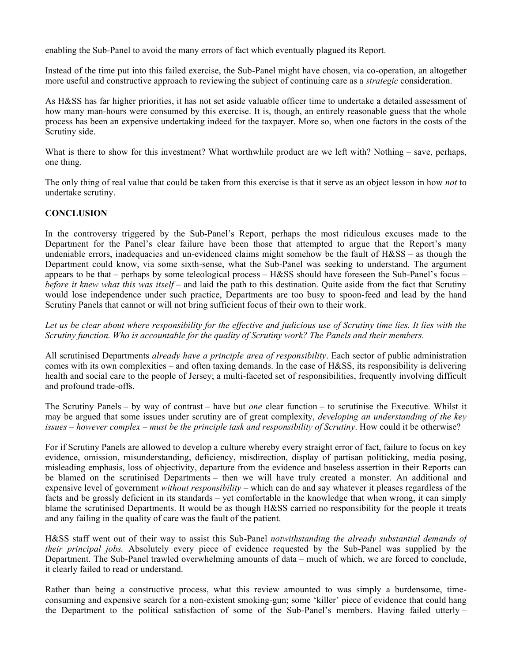enabling the Sub-Panel to avoid the many errors of fact which eventually plagued its Report.

Instead of the time put into this failed exercise, the Sub-Panel might have chosen, via co-operation, an altogether more useful and constructive approach to reviewing the subject of continuing care as a *strategic* consideration.

As H&SS has far higher priorities, it has not set aside valuable officer time to undertake a detailed assessment of how many man-hours were consumed by this exercise. It is, though, an entirely reasonable guess that the whole process has been an expensive undertaking indeed for the taxpayer. More so, when one factors in the costs of the Scrutiny side.

What is there to show for this investment? What worthwhile product are we left with? Nothing – save, perhaps, one thing.

The only thing of real value that could be taken from this exercise is that it serve as an object lesson in how *not* to undertake scrutiny.

# **CONCLUSION**

In the controversy triggered by the Sub-Panel's Report, perhaps the most ridiculous excuses made to the Department for the Panel's clear failure have been those that attempted to argue that the Report's many undeniable errors, inadequacies and un-evidenced claims might somehow be the fault of  $H&SS -$  as though the Department could know, via some sixth-sense, what the Sub-Panel was seeking to understand. The argument appears to be that – perhaps by some teleological process – H&SS should have foreseen the Sub-Panel's focus – *before it knew what this was itself* – and laid the path to this destination. Quite aside from the fact that Scrutiny would lose independence under such practice, Departments are too busy to spoon-feed and lead by the hand Scrutiny Panels that cannot or will not bring sufficient focus of their own to their work.

*Let us be clear about where responsibility for the effective and judicious use of Scrutiny time lies. It lies with the Scrutiny function. Who is accountable for the quality of Scrutiny work? The Panels and their members.*

All scrutinised Departments *already have a principle area of responsibility*. Each sector of public administration comes with its own complexities – and often taxing demands. In the case of H&SS, its responsibility is delivering health and social care to the people of Jersey; a multi-faceted set of responsibilities, frequently involving difficult and profound trade-offs.

The Scrutiny Panels – by way of contrast – have but *one* clear function – to scrutinise the Executive. Whilst it may be argued that some issues under scrutiny are of great complexity, *developing an understanding of the key issues – however complex – must be the principle task and responsibility of Scrutiny*. How could it be otherwise?

For if Scrutiny Panels are allowed to develop a culture whereby every straight error of fact, failure to focus on key evidence, omission, misunderstanding, deficiency, misdirection, display of partisan politicking, media posing, misleading emphasis, loss of objectivity, departure from the evidence and baseless assertion in their Reports can be blamed on the scrutinised Departments – then we will have truly created a monster. An additional and expensive level of government *without responsibility –* which can do and say whatever it pleases regardless of the facts and be grossly deficient in its standards – yet comfortable in the knowledge that when wrong, it can simply blame the scrutinised Departments. It would be as though H&SS carried no responsibility for the people it treats and any failing in the quality of care was the fault of the patient.

H&SS staff went out of their way to assist this Sub-Panel *notwithstanding the already substantial demands of their principal jobs.* Absolutely every piece of evidence requested by the Sub-Panel was supplied by the Department. The Sub-Panel trawled overwhelming amounts of data – much of which, we are forced to conclude, it clearly failed to read or understand.

Rather than being a constructive process, what this review amounted to was simply a burdensome, timeconsuming and expensive search for a non-existent smoking-gun; some 'killer' piece of evidence that could hang the Department to the political satisfaction of some of the Sub-Panel's members. Having failed utterly –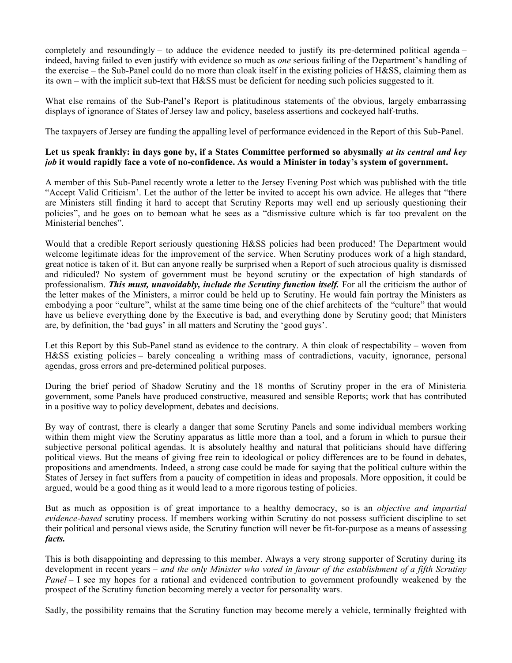completely and resoundingly – to adduce the evidence needed to justify its pre-determined political agenda – indeed, having failed to even justify with evidence so much as *one* serious failing of the Department's handling of the exercise – the Sub-Panel could do no more than cloak itself in the existing policies of H&SS, claiming them as its own – with the implicit sub-text that H&SS must be deficient for needing such policies suggested to it.

What else remains of the Sub-Panel's Report is platitudinous statements of the obvious, largely embarrassing displays of ignorance of States of Jersey law and policy, baseless assertions and cockeyed half-truths.

The taxpayers of Jersey are funding the appalling level of performance evidenced in the Report of this Sub-Panel.

# **Let us speak frankly: in days gone by, if a States Committee performed so abysmally** *at its central and key job* **it would rapidly face a vote of no-confidence. As would a Minister in today's system of government.**

A member of this Sub-Panel recently wrote a letter to the Jersey Evening Post which was published with the title "Accept Valid Criticism'. Let the author of the letter be invited to accept his own advice. He alleges that "there are Ministers still finding it hard to accept that Scrutiny Reports may well end up seriously questioning their policies", and he goes on to bemoan what he sees as a "dismissive culture which is far too prevalent on the Ministerial benches".

Would that a credible Report seriously questioning H&SS policies had been produced! The Department would welcome legitimate ideas for the improvement of the service. When Scrutiny produces work of a high standard, great notice is taken of it. But can anyone really be surprised when a Report of such atrocious quality is dismissed and ridiculed? No system of government must be beyond scrutiny or the expectation of high standards of professionalism. *This must, unavoidably, include the Scrutiny function itself.* For all the criticism the author of the letter makes of the Ministers, a mirror could be held up to Scrutiny. He would fain portray the Ministers as embodying a poor "culture", whilst at the same time being one of the chief architects of the "culture" that would have us believe everything done by the Executive is bad, and everything done by Scrutiny good; that Ministers are, by definition, the 'bad guys' in all matters and Scrutiny the 'good guys'.

Let this Report by this Sub-Panel stand as evidence to the contrary. A thin cloak of respectability – woven from H&SS existing policies – barely concealing a writhing mass of contradictions, vacuity, ignorance, personal agendas, gross errors and pre-determined political purposes.

During the brief period of Shadow Scrutiny and the 18 months of Scrutiny proper in the era of Ministerial government, some Panels have produced constructive, measured and sensible Reports; work that has contributed in a positive way to policy development, debates and decisions.

By way of contrast, there is clearly a danger that some Scrutiny Panels and some individual members working within them might view the Scrutiny apparatus as little more than a tool, and a forum in which to pursue their subjective personal political agendas. It is absolutely healthy and natural that politicians should have differing political views. But the means of giving free rein to ideological or policy differences are to be found in debates, propositions and amendments. Indeed, a strong case could be made for saying that the political culture within the States of Jersey in fact suffers from a paucity of competition in ideas and proposals. More opposition, it could be argued, would be a good thing as it would lead to a more rigorous testing of policies.

But as much as opposition is of great importance to a healthy democracy, so is an *objective and impartial evidence-based* scrutiny process. If members working within Scrutiny do not possess sufficient discipline to set their political and personal views aside, the Scrutiny function will never be fit-for-purpose as a means of assessing *facts.*

This is both disappointing and depressing to this member. Always a very strong supporter of Scrutiny during its development in recent years – *and the only Minister who voted in favour of the establishment of a fifth Scrutiny Panel* – I see my hopes for a rational and evidenced contribution to government profoundly weakened by the prospect of the Scrutiny function becoming merely a vector for personality wars.

Sadly, the possibility remains that the Scrutiny function may become merely a vehicle, terminally freighted with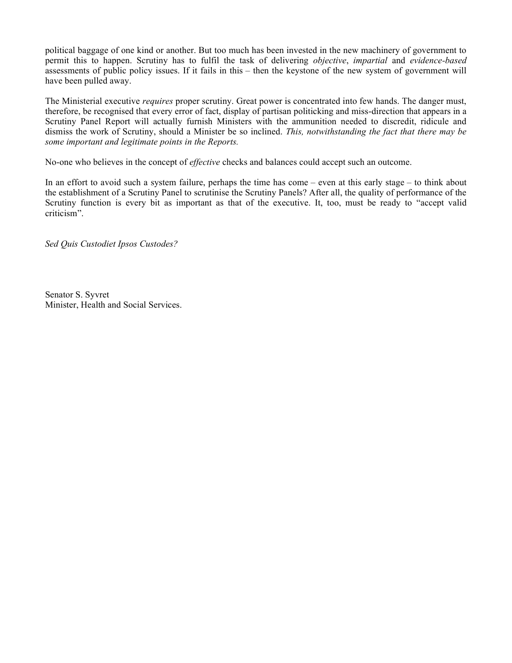political baggage of one kind or another. But too much has been invested in the new machinery of government to permit this to happen. Scrutiny has to fulfil the task of delivering *objective*, *impartial* and *evidence-based* assessments of public policy issues. If it fails in this – then the keystone of the new system of government will have been pulled away.

The Ministerial executive *requires* proper scrutiny. Great power is concentrated into few hands. The danger must, therefore, be recognised that every error of fact, display of partisan politicking and miss-direction that appears in a Scrutiny Panel Report will actually furnish Ministers with the ammunition needed to discredit, ridicule and dismiss the work of Scrutiny, should a Minister be so inclined. *This, notwithstanding the fact that there may be some important and legitimate points in the Reports.*

No-one who believes in the concept of *effective* checks and balances could accept such an outcome.

In an effort to avoid such a system failure, perhaps the time has come – even at this early stage – to think about the establishment of a Scrutiny Panel to scrutinise the Scrutiny Panels? After all, the quality of performance of the Scrutiny function is every bit as important as that of the executive. It, too, must be ready to "accept valid criticism".

*Sed Quis Custodiet Ipsos Custodes?*

Senator S. Syvret Minister, Health and Social Services.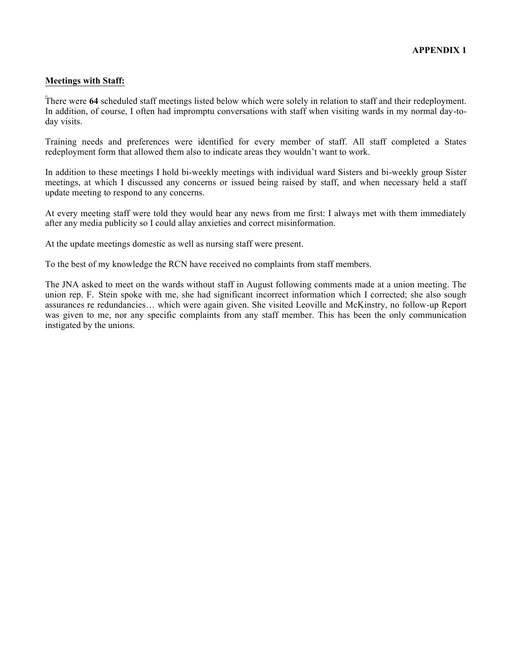# **Meetings with Staff:**

There were **64** scheduled staff meetings listed below which were solely in relation to staff and their redeployment. In addition, of course, I often had impromptu conversations with staff when visiting wards in my normal day-today visits.

Training needs and preferences were identified for every member of staff. All staff completed a States redeployment form that allowed them also to indicate areas they wouldn't want to work.

In addition to these meetings I hold bi-weekly meetings with individual ward Sisters and bi-weekly group Sister meetings, at which I discussed any concerns or issued being raised by staff, and when necessary held a staff update meeting to respond to any concerns.

At every meeting staff were told they would hear any news from me first: I always met with them immediately after any media publicity so I could allay anxieties and correct misinformation.

At the update meetings domestic as well as nursing staff were present.

To the best of my knowledge the RCN have received no complaints from staff members.

The JNA asked to meet on the wards without staff in August following comments made at a union meeting. The union rep. F. Stein spoke with me, she had significant incorrect information which I corrected; she also sought assurances re redundancies… which were again given. She visited Leoville and McKinstry, no follow-up Report was given to me, nor any specific complaints from any staff member. This has been the only communication instigated by the unions.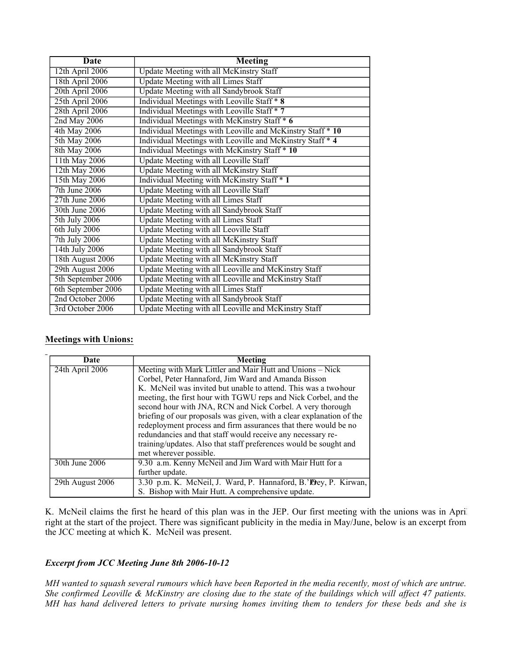| <b>Date</b>        | <b>Meeting</b>                                             |
|--------------------|------------------------------------------------------------|
| 12th April 2006    | Update Meeting with all McKinstry Staff                    |
| 18th April 2006    | <b>Update Meeting with all Limes Staff</b>                 |
| 20th April 2006    | <b>Update Meeting with all Sandybrook Staff</b>            |
| 25th April 2006    | Individual Meetings with Leoville Staff * 8                |
| 28th April 2006    | Individual Meetings with Leoville Staff * 7                |
| 2nd May 2006       | Individual Meetings with McKinstry Staff * 6               |
| 4th May 2006       | Individual Meetings with Leoville and McKinstry Staff * 10 |
| 5th May 2006       | Individual Meetings with Leoville and McKinstry Staff * 4  |
| 8th May 2006       | Individual Meetings with McKinstry Staff * 10              |
| 11th May 2006      | <b>Update Meeting with all Leoville Staff</b>              |
| 12th May 2006      | <b>Update Meeting with all McKinstry Staff</b>             |
| 15th May 2006      | Individual Meeting with McKinstry Staff * 1                |
| 7th June 2006      | <b>Update Meeting with all Leoville Staff</b>              |
| 27th June 2006     | <b>Update Meeting with all Limes Staff</b>                 |
| 30th June 2006     | <b>Update Meeting with all Sandybrook Staff</b>            |
| 5th July 2006      | <b>Update Meeting with all Limes Staff</b>                 |
| 6th July 2006      | <b>Update Meeting with all Leoville Staff</b>              |
| 7th July 2006      | <b>Update Meeting with all McKinstry Staff</b>             |
| 14th July 2006     | <b>Update Meeting with all Sandybrook Staff</b>            |
| 18th August 2006   | <b>Update Meeting with all McKinstry Staff</b>             |
| 29th August 2006   | Update Meeting with all Leoville and McKinstry Staff       |
| 5th September 2006 | Update Meeting with all Leoville and McKinstry Staff       |
| 6th September 2006 | <b>Update Meeting with all Limes Staff</b>                 |
| 2nd October 2006   | Update Meeting with all Sandybrook Staff                   |
| 3rd October 2006   | Update Meeting with all Leoville and McKinstry Staff       |

# **Meetings with Unions:**

| Date             | Meeting                                                              |  |  |  |  |  |
|------------------|----------------------------------------------------------------------|--|--|--|--|--|
| 24th April 2006  | Meeting with Mark Littler and Mair Hutt and Unions - Nick            |  |  |  |  |  |
|                  | Corbel, Peter Hannaford, Jim Ward and Amanda Bisson                  |  |  |  |  |  |
|                  | K. McNeil was invited but unable to attend. This was a two-hour      |  |  |  |  |  |
|                  | meeting, the first hour with TGWU reps and Nick Corbel, and the      |  |  |  |  |  |
|                  | second hour with JNA, RCN and Nick Corbel. A very thorough           |  |  |  |  |  |
|                  | briefing of our proposals was given, with a clear explanation of the |  |  |  |  |  |
|                  | redeployment process and firm assurances that there would be no      |  |  |  |  |  |
|                  | redundancies and that staff would receive any necessary re-          |  |  |  |  |  |
|                  | training/updates. Also that staff preferences would be sought and    |  |  |  |  |  |
|                  | met wherever possible.                                               |  |  |  |  |  |
| 30th June 2006   | 9.30 a.m. Kenny McNeil and Jim Ward with Mair Hutt for a             |  |  |  |  |  |
|                  | further update.                                                      |  |  |  |  |  |
| 29th August 2006 | 3.30 p.m. K. McNeil, J. Ward, P. Hannaford, B.'Pey, P. Kirwan,       |  |  |  |  |  |
|                  | S. Bishop with Mair Hutt. A comprehensive update.                    |  |  |  |  |  |

K. McNeil claims the first he heard of this plan was in the JEP. Our first meeting with the unions was in April right at the start of the project. There was significant publicity in the media in May/June, below is an excerpt from the JCC meeting at which K. McNeil was present.

# *Excerpt from JCC Meeting June 8th 2006-10-12*

*MH wanted to squash several rumours which have been Reported in the media recently, most of which are untrue. She confirmed Leoville & McKinstry are closing due to the state of the buildings which will affect 47 patients. MH has hand delivered letters to private nursing homes inviting them to tenders for these beds and she is*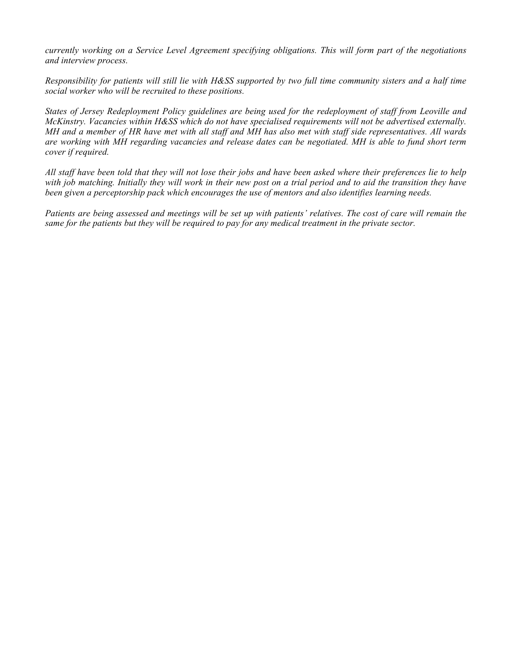*currently working on a Service Level Agreement specifying obligations. This will form part of the negotiations and interview process.*

*Responsibility for patients will still lie with H&SS supported by two full time community sisters and a half time social worker who will be recruited to these positions.*

*States of Jersey Redeployment Policy guidelines are being used for the redeployment of staff from Leoville and McKinstry. Vacancies within H&SS which do not have specialised requirements will not be advertised externally. MH and a member of HR have met with all staff and MH has also met with staff side representatives. All wards are working with MH regarding vacancies and release dates can be negotiated. MH is able to fund short term cover if required.*

*All staff have been told that they will not lose their jobs and have been asked where their preferences lie to help with job matching. Initially they will work in their new post on a trial period and to aid the transition they have been given a perceptorship pack which encourages the use of mentors and also identifies learning needs.*

*Patients are being assessed and meetings will be set up with patients' relatives. The cost of care will remain the same for the patients but they will be required to pay for any medical treatment in the private sector.*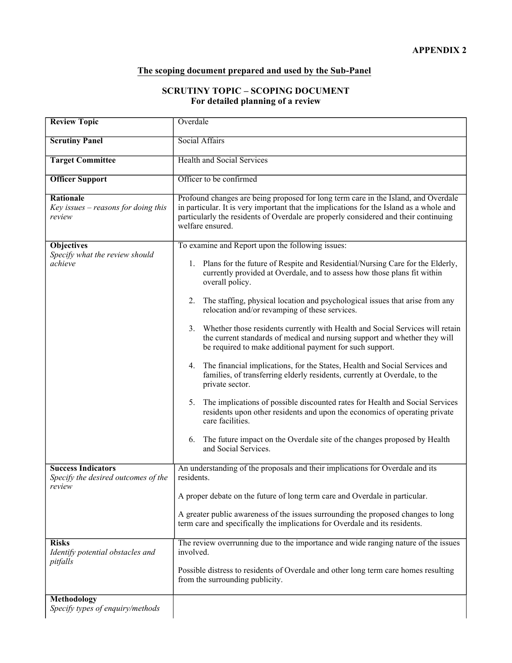# **The scoping document prepared and used by the Sub-Panel**

# **SCRUTINY TOPIC – SCOPING DOCUMENT For detailed planning of a review**

| <b>Review Topic</b>                                              | Overdale                                                                                                                                                                                                                                                                                 |  |  |  |  |
|------------------------------------------------------------------|------------------------------------------------------------------------------------------------------------------------------------------------------------------------------------------------------------------------------------------------------------------------------------------|--|--|--|--|
| <b>Scrutiny Panel</b>                                            | Social Affairs                                                                                                                                                                                                                                                                           |  |  |  |  |
| <b>Target Committee</b>                                          | <b>Health and Social Services</b>                                                                                                                                                                                                                                                        |  |  |  |  |
| <b>Officer Support</b>                                           | Officer to be confirmed                                                                                                                                                                                                                                                                  |  |  |  |  |
| Rationale<br>$Key$ issues – reasons for doing this<br>review     | Profound changes are being proposed for long term care in the Island, and Overdale<br>in particular. It is very important that the implications for the Island as a whole and<br>particularly the residents of Overdale are properly considered and their continuing<br>welfare ensured. |  |  |  |  |
| <b>Objectives</b><br>Specify what the review should              | To examine and Report upon the following issues:                                                                                                                                                                                                                                         |  |  |  |  |
| achieve                                                          | Plans for the future of Respite and Residential/Nursing Care for the Elderly,<br>1.<br>currently provided at Overdale, and to assess how those plans fit within<br>overall policy.                                                                                                       |  |  |  |  |
|                                                                  | 2.<br>The staffing, physical location and psychological issues that arise from any<br>relocation and/or revamping of these services.                                                                                                                                                     |  |  |  |  |
|                                                                  | 3. Whether those residents currently with Health and Social Services will retain<br>the current standards of medical and nursing support and whether they will<br>be required to make additional payment for such support.                                                               |  |  |  |  |
|                                                                  | The financial implications, for the States, Health and Social Services and<br>4.<br>families, of transferring elderly residents, currently at Overdale, to the<br>private sector.                                                                                                        |  |  |  |  |
|                                                                  | The implications of possible discounted rates for Health and Social Services<br>5.<br>residents upon other residents and upon the economics of operating private<br>care facilities.                                                                                                     |  |  |  |  |
|                                                                  | The future impact on the Overdale site of the changes proposed by Health<br>6.<br>and Social Services.                                                                                                                                                                                   |  |  |  |  |
| <b>Success Indicators</b><br>Specify the desired outcomes of the | An understanding of the proposals and their implications for Overdale and its<br>residents.                                                                                                                                                                                              |  |  |  |  |
| review                                                           | A proper debate on the future of long term care and Overdale in particular.                                                                                                                                                                                                              |  |  |  |  |
|                                                                  | A greater public awareness of the issues surrounding the proposed changes to long<br>term care and specifically the implications for Overdale and its residents.                                                                                                                         |  |  |  |  |
| <b>Risks</b><br>Identify potential obstacles and<br>pitfalls     | The review overrunning due to the importance and wide ranging nature of the issues<br>involved.                                                                                                                                                                                          |  |  |  |  |
|                                                                  | Possible distress to residents of Overdale and other long term care homes resulting<br>from the surrounding publicity.                                                                                                                                                                   |  |  |  |  |
| Methodology                                                      |                                                                                                                                                                                                                                                                                          |  |  |  |  |
| Specify types of enquiry/methods                                 |                                                                                                                                                                                                                                                                                          |  |  |  |  |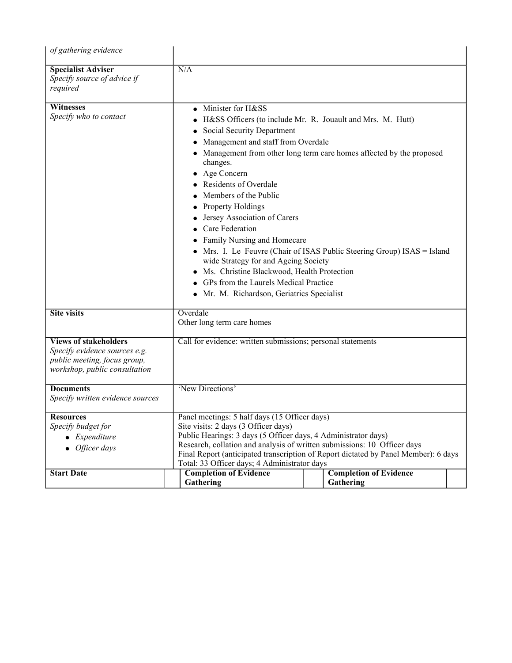| of gathering evidence                                                                                                          |                                                                                                                                                                                                                                                                                                                                                                                                                                                                                                                                                                                                                                                                                               |  |                                            |  |  |  |  |
|--------------------------------------------------------------------------------------------------------------------------------|-----------------------------------------------------------------------------------------------------------------------------------------------------------------------------------------------------------------------------------------------------------------------------------------------------------------------------------------------------------------------------------------------------------------------------------------------------------------------------------------------------------------------------------------------------------------------------------------------------------------------------------------------------------------------------------------------|--|--------------------------------------------|--|--|--|--|
| <b>Specialist Adviser</b><br>Specify source of advice if<br>required                                                           | N/A                                                                                                                                                                                                                                                                                                                                                                                                                                                                                                                                                                                                                                                                                           |  |                                            |  |  |  |  |
| Witnesses<br>Specify who to contact                                                                                            | Minister for H&SS<br>H&SS Officers (to include Mr. R. Jouault and Mrs. M. Hutt)<br>Social Security Department<br>Management and staff from Overdale<br>$\bullet$<br>Management from other long term care homes affected by the proposed<br>changes.<br>Age Concern<br><b>Residents of Overdale</b><br>Members of the Public<br><b>Property Holdings</b><br>Jersey Association of Carers<br>Care Federation<br>Family Nursing and Homecare<br>Mrs. I. Le Feuvre (Chair of ISAS Public Steering Group) ISAS = Island<br>wide Strategy for and Ageing Society<br>Ms. Christine Blackwood, Health Protection<br>GPs from the Laurels Medical Practice<br>Mr. M. Richardson, Geriatrics Specialist |  |                                            |  |  |  |  |
| <b>Site visits</b>                                                                                                             | Overdale<br>Other long term care homes                                                                                                                                                                                                                                                                                                                                                                                                                                                                                                                                                                                                                                                        |  |                                            |  |  |  |  |
| <b>Views of stakeholders</b><br>Specify evidence sources e.g.<br>public meeting, focus group,<br>workshop, public consultation | Call for evidence: written submissions; personal statements                                                                                                                                                                                                                                                                                                                                                                                                                                                                                                                                                                                                                                   |  |                                            |  |  |  |  |
| <b>Documents</b><br>Specify written evidence sources                                                                           | 'New Directions'                                                                                                                                                                                                                                                                                                                                                                                                                                                                                                                                                                                                                                                                              |  |                                            |  |  |  |  |
| Resources<br>Specify budget for<br>$\bullet$ Expenditure<br>Officer days                                                       | Panel meetings: 5 half days (15 Officer days)<br>Site visits: 2 days (3 Officer days)<br>Public Hearings: 3 days (5 Officer days, 4 Administrator days)<br>Research, collation and analysis of written submissions: 10 Officer days<br>Final Report (anticipated transcription of Report dictated by Panel Member): 6 days<br>Total: 33 Officer days; 4 Administrator days                                                                                                                                                                                                                                                                                                                    |  |                                            |  |  |  |  |
| <b>Start Date</b>                                                                                                              | <b>Completion of Evidence</b><br>Gathering                                                                                                                                                                                                                                                                                                                                                                                                                                                                                                                                                                                                                                                    |  | <b>Completion of Evidence</b><br>Gathering |  |  |  |  |